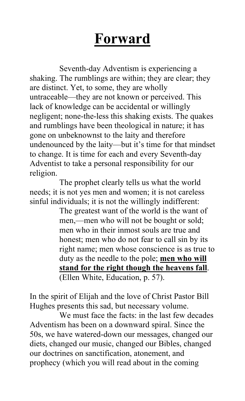# **Forward**

Seventh-day Adventism is experiencing a shaking. The rumblings are within; they are clear; they are distinct. Yet, to some, they are wholly untraceable—they are not known or perceived. This lack of knowledge can be accidental or willingly negligent; none-the-less this shaking exists. The quakes and rumblings have been theological in nature; it has gone on unbeknownst to the laity and therefore undenounced by the laity—but it's time for that mindset to change. It is time for each and every Seventh-day Adventist to take a personal responsibility for our religion.

The prophet clearly tells us what the world needs; it is not yes men and women; it is not careless sinful individuals; it is not the willingly indifferent:

The greatest want of the world is the want of men,—men who will not be bought or sold; men who in their inmost souls are true and honest; men who do not fear to call sin by its right name; men whose conscience is as true to duty as the needle to the pole; **men who will stand for the right though the heavens fall**. (Ellen White, Education, p. 57).

In the spirit of Elijah and the love of Christ Pastor Bill Hughes presents this sad, but necessary volume.

We must face the facts: in the last few decades Adventism has been on a downward spiral. Since the 50s, we have watered-down our messages, changed our diets, changed our music, changed our Bibles, changed our doctrines on sanctification, atonement, and prophecy (which you will read about in the coming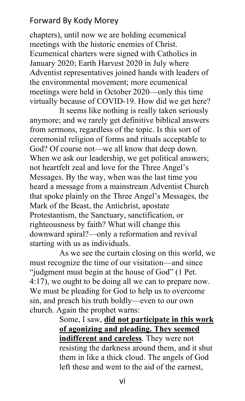## Forward By Kody Morey

chapters), until now we are holding ecumenical meetings with the historic enemies of Christ. Ecumenical charters were signed with Catholics in January 2020; Earth Harvest 2020 in July where Adventist representatives joined hands with leaders of the environmental movement; more ecumenical meetings were held in October 2020—only this time virtually because of COVID-19. How did we get here?

It seems like nothing is really taken seriously anymore; and we rarely get definitive biblical answers from sermons, regardless of the topic. Is this sort of ceremonial religion of forms and rituals acceptable to God? Of course not—we all know that deep down. When we ask our leadership, we get political answers; not heartfelt zeal and love for the Three Angel's Messages. By the way, when was the last time you heard a message from a mainstream Adventist Church that spoke plainly on the Three Angel's Messages, the Mark of the Beast, the Antichrist, apostate Protestantism, the Sanctuary, sanctification, or righteousness by faith? What will change this downward spiral?—only a reformation and revival starting with us as individuals.

As we see the curtain closing on this world, we must recognize the time of our visitation—and since "judgment must begin at the house of God" (1 Pet. 4:17), we ought to be doing all we can to prepare now. We must be pleading for God to help us to overcome sin, and preach his truth boldly—even to our own church. Again the prophet warns:

Some, I saw, **did not participate in this work of agonizing and pleading. They seemed indifferent and careless**. They were not resisting the darkness around them, and it shut them in like a thick cloud. The angels of God left these and went to the aid of the earnest,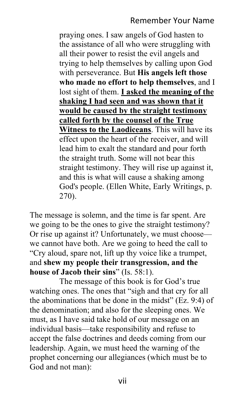praying ones. I saw angels of God hasten to the assistance of all who were struggling with all their power to resist the evil angels and trying to help themselves by calling upon God with perseverance. But **His angels left those who made no effort to help themselves**, and I lost sight of them. **I asked the meaning of the shaking I had seen and was shown that it would be caused by the straight testimony called forth by the counsel of the True Witness to the Laodiceans**. This will have its effect upon the heart of the receiver, and will lead him to exalt the standard and pour forth the straight truth. Some will not bear this straight testimony. They will rise up against it, and this is what will cause a shaking among God's people. (Ellen White, Early Writings, p. 270).

The message is solemn, and the time is far spent. Are we going to be the ones to give the straight testimony? Or rise up against it? Unfortunately, we must choose we cannot have both. Are we going to heed the call to "Cry aloud, spare not, lift up thy voice like a trumpet, and **shew my people their transgression, and the house of Jacob their sins**" (Is. 58:1).

The message of this book is for God's true watching ones. The ones that "sigh and that cry for all the abominations that be done in the midst" (Ez. 9:4) of the denomination; and also for the sleeping ones. We must, as I have said take hold of our message on an individual basis—take responsibility and refuse to accept the false doctrines and deeds coming from our leadership. Again, we must heed the warning of the prophet concerning our allegiances (which must be to God and not man):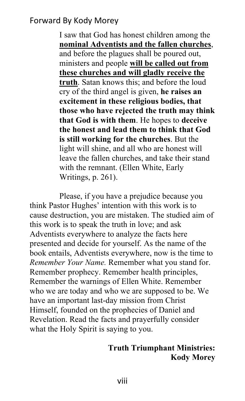## Forward By Kody Morey

I saw that God has honest children among the **nominal Adventists and the fallen churches**, and before the plagues shall be poured out, ministers and people **will be called out from these churches and will gladly receive the truth**. Satan knows this; and before the loud cry of the third angel is given, **he raises an excitement in these religious bodies, that those who have rejected the truth may think that God is with them**. He hopes to **deceive the honest and lead them to think that God is still working for the churches**. But the light will shine, and all who are honest will leave the fallen churches, and take their stand with the remnant. (Ellen White, Early Writings, p. 261).

Please, if you have a prejudice because you think Pastor Hughes' intention with this work is to cause destruction, you are mistaken. The studied aim of this work is to speak the truth in love; and ask Adventists everywhere to analyze the facts here presented and decide for yourself. As the name of the book entails, Adventists everywhere, now is the time to *Remember Your Name.* Remember what you stand for. Remember prophecy. Remember health principles, Remember the warnings of Ellen White. Remember who we are today and who we are supposed to be. We have an important last-day mission from Christ Himself, founded on the prophecies of Daniel and Revelation. Read the facts and prayerfully consider what the Holy Spirit is saying to you.

#### **Truth Triumphant Ministries: Kody Morey**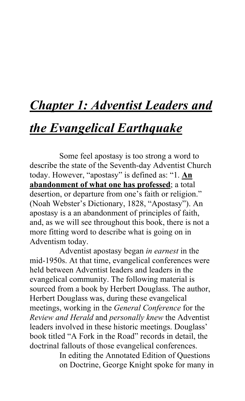# *Chapter 1: Adventist Leaders and*

## *the Evangelical Earthquake*

Some feel apostasy is too strong a word to describe the state of the Seventh-day Adventist Church today. However, "apostasy" is defined as: "1. **An abandonment of what one has professed**; a total desertion, or departure from one's faith or religion." (Noah Webster's Dictionary, 1828, "Apostasy"). An apostasy is a an abandonment of principles of faith, and, as we will see throughout this book, there is not a more fitting word to describe what is going on in Adventism today.

Adventist apostasy began *in earnest* in the mid-1950s. At that time, evangelical conferences were held between Adventist leaders and leaders in the evangelical community. The following material is sourced from a book by Herbert Douglass. The author, Herbert Douglass was, during these evangelical meetings, working in the *General Conference* for the *Review and Herald* and *personally knew* the Adventist leaders involved in these historic meetings. Douglass' book titled "A Fork in the Road" records in detail, the doctrinal fallouts of those evangelical conferences.

> In editing the Annotated Edition of Questions on Doctrine, George Knight spoke for many in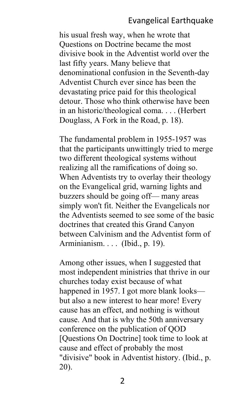#### Evangelical Earthquake

his usual fresh way, when he wrote that Questions on Doctrine became the most divisive book in the Adventist world over the last fifty years. Many believe that denominational confusion in the Seventh-day Adventist Church ever since has been the devastating price paid for this theological detour. Those who think otherwise have been in an historic/theological coma. . . . (Herbert Douglass, A Fork in the Road, p. 18).

The fundamental problem in 1955-1957 was that the participants unwittingly tried to merge two different theological systems without realizing all the ramifications of doing so. When Adventists try to overlay their theology on the Evangelical grid, warning lights and buzzers should be going off— many areas simply won't fit. Neither the Evangelicals nor the Adventists seemed to see some of the basic doctrines that created this Grand Canyon between Calvinism and the Adventist form of Arminianism. . . . (Ibid., p. 19).

Among other issues, when I suggested that most independent ministries that thrive in our churches today exist because of what happened in 1957. I got more blank looks but also a new interest to hear more! Every cause has an effect, and nothing is without cause. And that is why the 50th anniversary conference on the publication of QOD [Questions On Doctrine] took time to look at cause and effect of probably the most "divisive" book in Adventist history. (Ibid., p. 20).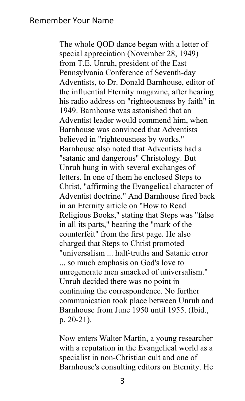The whole QOD dance began with a letter of special appreciation (November 28, 1949) from T.E. Unruh, president of the East Pennsylvania Conference of Seventh-day Adventists, to Dr. Donald Barnhouse, editor of the influential Eternity magazine, after hearing his radio address on "righteousness by faith" in 1949. Barnhouse was astonished that an Adventist leader would commend him, when Barnhouse was convinced that Adventists believed in "righteousness by works." Barnhouse also noted that Adventists had a "satanic and dangerous" Christology. But Unruh hung in with several exchanges of letters. In one of them he enclosed Steps to Christ, "affirming the Evangelical character of Adventist doctrine." And Barnhouse fired back in an Eternity article on "How to Read Religious Books," stating that Steps was "false in all its parts," bearing the "mark of the counterfeit" from the first page. He also charged that Steps to Christ promoted "universalism ... half-truths and Satanic error ... so much emphasis on God's love to unregenerate men smacked of universalism." Unruh decided there was no point in continuing the correspondence. No further communication took place between Unruh and Barnhouse from June 1950 until 1955. (Ibid., p. 20-21).

Now enters Walter Martin, a young researcher with a reputation in the Evangelical world as a specialist in non-Christian cult and one of Barnhouse's consulting editors on Eternity. He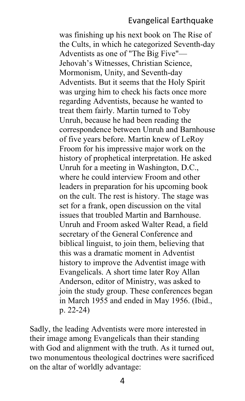#### Evangelical Earthquake

was finishing up his next book on The Rise of the Cults, in which he categorized Seventh-day Adventists as one of "The Big Five"— Jehovah's Witnesses, Christian Science, Mormonism, Unity, and Seventh-day Adventists. But it seems that the Holy Spirit was urging him to check his facts once more regarding Adventists, because he wanted to treat them fairly. Martin turned to Toby Unruh, because he had been reading the correspondence between Unruh and Barnhouse of five years before. Martin knew of LeRoy Froom for his impressive major work on the history of prophetical interpretation. He asked Unruh for a meeting in Washington, D.C., where he could interview Froom and other leaders in preparation for his upcoming book on the cult. The rest is history. The stage was set for a frank, open discussion on the vital issues that troubled Martin and Barnhouse. Unruh and Froom asked Walter Read, a field secretary of the General Conference and biblical linguist, to join them, believing that this was a dramatic moment in Adventist history to improve the Adventist image with Evangelicals. A short time later Roy Allan Anderson, editor of Ministry, was asked to join the study group. These conferences began in March 1955 and ended in May 1956. (Ibid., p. 22-24)

Sadly, the leading Adventists were more interested in their image among Evangelicals than their standing with God and alignment with the truth. As it turned out, two monumentous theological doctrines were sacrificed on the altar of worldly advantage: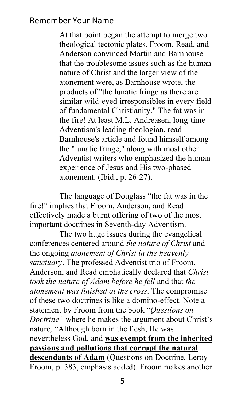At that point began the attempt to merge two theological tectonic plates. Froom, Read, and Anderson convinced Martin and Barnhouse that the troublesome issues such as the human nature of Christ and the larger view of the atonement were, as Barnhouse wrote, the products of "the lunatic fringe as there are similar wild-eyed irresponsibles in every field of fundamental Christianity." The fat was in the fire! At least M.L. Andreasen, long-time Adventism's leading theologian, read Barnhouse's article and found himself among the "lunatic fringe," along with most other Adventist writers who emphasized the human experience of Jesus and His two-phased atonement. (Ibid., p. 26-27).

The language of Douglass "the fat was in the fire!" implies that Froom, Anderson, and Read effectively made a burnt offering of two of the most important doctrines in Seventh-day Adventism.

The two huge issues during the evangelical conferences centered around *the nature of Christ* and the ongoing *atonement of Christ in the heavenly sanctuary*. The professed Adventist trio of Froom, Anderson, and Read emphatically declared that *Christ took the nature of Adam before he fell* and that *the atonement was finished at the cross*. The compromise of these two doctrines is like a domino-effect. Note a statement by Froom from the book "*Questions on Doctrine"* where he makes the argument about Christ's nature*,* "Although born in the flesh, He was nevertheless God, and **was exempt from the inherited passions and pollutions that corrupt the natural descendants of Adam** (Questions on Doctrine, Leroy Froom, p. 383, emphasis added). Froom makes another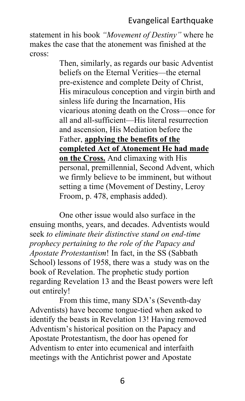## Evangelical Earthquake

statement in his book *"Movement of Destiny"* where he makes the case that the atonement was finished at the cross:

> Then, similarly, as regards our basic Adventist beliefs on the Eternal Verities—the eternal pre-existence and complete Deity of Christ, His miraculous conception and virgin birth and sinless life during the Incarnation, His vicarious atoning death on the Cross—once for all and all-sufficient—His literal resurrection and ascension, His Mediation before the Father, **applying the benefits of the completed Act of Atonement He had made on the Cross.** And climaxing with His personal, premillennial, Second Advent, which we firmly believe to be imminent, but without setting a time (Movement of Destiny, Leroy Froom, p. 478, emphasis added).

One other issue would also surface in the ensuing months, years, and decades. Adventists would seek *to eliminate their distinctive stand on end-time prophecy pertaining to the role of the Papacy and Apostate Protestantism*! In fact, in the SS (Sabbath School) lessons of 1958, there was a study was on the book of Revelation. The prophetic study portion regarding Revelation 13 and the Beast powers were left out entirely!

From this time, many SDA's (Seventh-day Adventists) have become tongue-tied when asked to identify the beasts in Revelation 13! Having removed Adventism's historical position on the Papacy and Apostate Protestantism, the door has opened for Adventism to enter into ecumenical and interfaith meetings with the Antichrist power and Apostate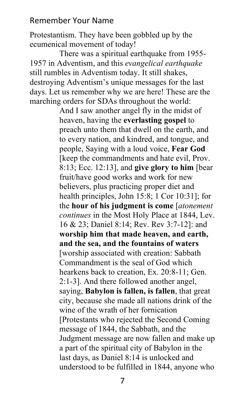Protestantism. They have been gobbled up by the ecumenical movement of today!

There was a spiritual earthquake from 1955- 1957 in Adventism, and this *evangelical earthquake* still rumbles in Adventism today. It still shakes, destroying Adventism's unique messages for the last days. Let us remember why we are here! These are the marching orders for SDAs throughout the world:

> And I saw another angel fly in the midst of heaven, having the **everlasting gospel** to preach unto them that dwell on the earth, and to every nation, and kindred, and tongue, and people, Saying with a loud voice, **Fear God**  [keep the commandments and hate evil, Prov. 8:13; Ecc. 12:13], and **give glory to him** [bear fruit/have good works and work for new believers, plus practicing proper diet and health principles, John 15:8; 1 Cor 10:31]; for the **hour of his judgment is come** [*atonement continues* in the Most Holy Place at 1844, Lev. 16 & 23; Daniel 8:14; Rev. Rev 3:7-12]: and **worship him that made heaven, and earth, and the sea, and the fountains of waters** [worship associated with creation: Sabbath Commandment is the seal of God which hearkens back to creation, Ex. 20:8-11; Gen. 2:1-3]. And there followed another angel, saying, **Babylon is fallen, is fallen**, that great city, because she made all nations drink of the wine of the wrath of her fornication [Protestants who rejected the Second Coming message of 1844, the Sabbath, and the Judgment message are now fallen and make up a part of the spiritual city of Babylon in the last days, as Daniel 8:14 is unlocked and understood to be fulfilled in 1844, anyone who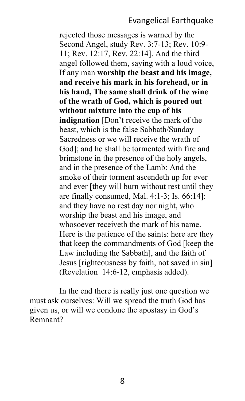#### Evangelical Earthquake

rejected those messages is warned by the Second Angel, study Rev. 3:7-13; Rev. 10:9- 11; Rev. 12:17, Rev. 22:14]. And the third angel followed them, saying with a loud voice, If any man **worship the beast and his image, and receive his mark in his forehead, or in his hand, The same shall drink of the wine of the wrath of God, which is poured out without mixture into the cup of his indignation** [Don't receive the mark of the beast, which is the false Sabbath/Sunday Sacredness or we will receive the wrath of God]; and he shall be tormented with fire and brimstone in the presence of the holy angels, and in the presence of the Lamb: And the smoke of their torment ascendeth up for ever and ever [they will burn without rest until they are finally consumed, Mal. 4:1-3; Is. 66:14]: and they have no rest day nor night, who worship the beast and his image, and whosoever receiveth the mark of his name. Here is the patience of the saints: here are they that keep the commandments of God [keep the Law including the Sabbath], and the faith of Jesus [righteousness by faith, not saved in sin] (Revelation 14:6-12, emphasis added).

In the end there is really just one question we must ask ourselves: Will we spread the truth God has given us, or will we condone the apostasy in God's Remnant?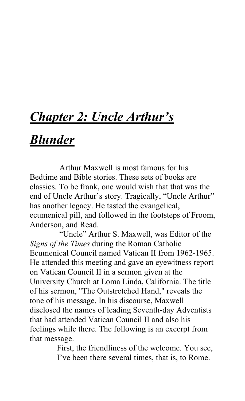# *Chapter 2: Uncle Arthur's*

## *Blunder*

Arthur Maxwell is most famous for his Bedtime and Bible stories. These sets of books are classics. To be frank, one would wish that that was the end of Uncle Arthur's story. Tragically, "Uncle Arthur" has another legacy. He tasted the evangelical, ecumenical pill, and followed in the footsteps of Froom, Anderson, and Read.

"Uncle" Arthur S. Maxwell, was Editor of the *Signs of the Times* during the Roman Catholic Ecumenical Council named Vatican II from 1962-1965. He attended this meeting and gave an eyewitness report on Vatican Council II in a sermon given at the University Church at Loma Linda, California. The title of his sermon, "The Outstretched Hand," reveals the tone of his message. In his discourse, Maxwell disclosed the names of leading Seventh-day Adventists that had attended Vatican Council II and also his feelings while there. The following is an excerpt from that message.

> First, the friendliness of the welcome. You see, I've been there several times, that is, to Rome.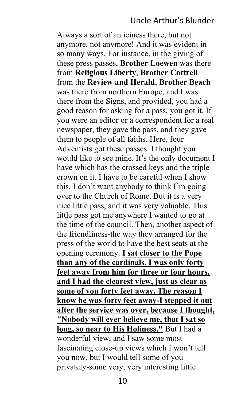#### Uncle Arthur's Blunder

Always a sort of an iciness there, but not anymore, not anymore! And it was evident in so many ways. For instance, in the giving of these press passes, **Brother Loewen** was there from **Religious Liberty**, **Brother Cottrell** from the **Review and Herald**, **Brother Beach** was there from northern Europe, and I was there from the Signs, and provided, you had a good reason for asking for a pass, you got it. If you were an editor or a correspondent for a real newspaper, they gave the pass, and they gave them to people of all faiths. Here, four Adventists got these passes. I thought you would like to see mine. It's the only document I have which has the crossed keys and the triple crown on it. I have to be careful when I show this. I don't want anybody to think I'm going over to the Church of Rome. But it is a very nice little pass, and it was very valuable. This little pass got me anywhere I wanted to go at the time of the council. Then, another aspect of the friendliness-the way they arranged for the press of the world to have the best seats at the opening ceremony. **I sat closer to the Pope than any of the cardinals. I was only forty feet away from him for three or four hours, and I had the clearest view, just as clear as some of you forty feet away. The reason I know he was forty feet away-I stepped it out after the service was over, because I thought, "Nobody will ever believe me, that I sat so long, so near to His Holiness."** But I had a wonderful view, and I saw some most fascinating close-up views which I won't tell you now, but I would tell some of you privately-some very, very interesting little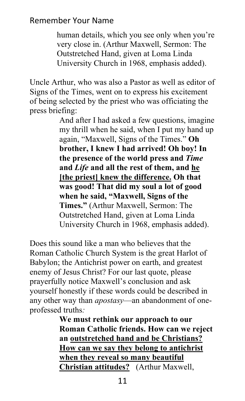human details, which you see only when you're very close in. (Arthur Maxwell, Sermon: The Outstretched Hand, given at Loma Linda University Church in 1968, emphasis added).

Uncle Arthur, who was also a Pastor as well as editor of Signs of the Times, went on to express his excitement of being selected by the priest who was officiating the press briefing:

> And after I had asked a few questions, imagine my thrill when he said, when I put my hand up again, "Maxwell, Signs of the Times." **Oh brother, I knew I had arrived! Oh boy! In the presence of the world press and** *Time*  **and** *Life* **and all the rest of them, and he [the priest] knew the difference. Oh that was good! That did my soul a lot of good when he said, "Maxwell, Signs of the Times."** (Arthur Maxwell, Sermon: The Outstretched Hand, given at Loma Linda University Church in 1968, emphasis added).

Does this sound like a man who believes that the Roman Catholic Church System is the great Harlot of Babylon; the Antichrist power on earth, and greatest enemy of Jesus Christ? For our last quote, please prayerfully notice Maxwell's conclusion and ask yourself honestly if these words could be described in any other way than *apostasy*—an abandonment of oneprofessed truths*:*

> **We must rethink our approach to our Roman Catholic friends. How can we reject an outstretched hand and be Christians? How can we say they belong to antichrist when they reveal so many beautiful Christian attitudes?** (Arthur Maxwell,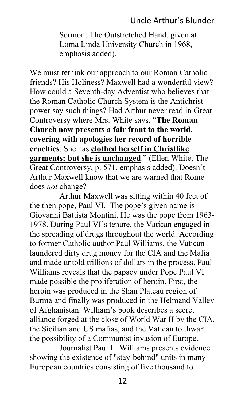## Uncle Arthur's Blunder

Sermon: The Outstretched Hand, given at Loma Linda University Church in 1968, emphasis added).

We must rethink our approach to our Roman Catholic friends? His Holiness? Maxwell had a wonderful view? How could a Seventh-day Adventist who believes that the Roman Catholic Church System is the Antichrist power say such things? Had Arthur never read in Great Controversy where Mrs. White says, "**The Roman Church now presents a fair front to the world, covering with apologies her record of horrible cruelties**. She has **clothed herself in Christlike garments; but she is unchanged**." (Ellen White, The Great Controversy, p. 571, emphasis added). Doesn't Arthur Maxwell know that we are warned that Rome does *not* change?

Arthur Maxwell was sitting within 40 feet of the then pope, Paul VI. The pope's given name is Giovanni Battista Montini. He was the pope from 1963- 1978. During Paul VI's tenure, the Vatican engaged in the spreading of drugs throughout the world. According to former Catholic author Paul Williams, the Vatican laundered dirty drug money for the CIA and the Mafia and made untold trillions of dollars in the process. Paul Williams reveals that the papacy under Pope Paul VI made possible the proliferation of heroin. First, the heroin was produced in the Shan Plateau region of Burma and finally was produced in the Helmand Valley of Afghanistan. William's book describes a secret alliance forged at the close of World War II by the CIA, the Sicilian and US mafias, and the Vatican to thwart the possibility of a Communist invasion of Europe.

Journalist Paul L. Williams presents evidence showing the existence of "stay-behind" units in many European countries consisting of five thousand to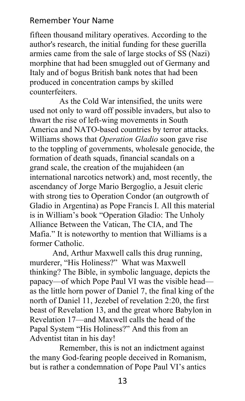fifteen thousand military operatives. According to the author's research, the initial funding for these guerilla armies came from the sale of large stocks of SS (Nazi) morphine that had been smuggled out of Germany and Italy and of bogus British bank notes that had been produced in concentration camps by skilled counterfeiters.

As the Cold War intensified, the units were used not only to ward off possible invaders, but also to thwart the rise of left-wing movements in South America and NATO-based countries by terror attacks. Williams shows that *Operation Gladio* soon gave rise to the toppling of governments, wholesale genocide, the formation of death squads, financial scandals on a grand scale, the creation of the mujahideen (an international narcotics network) and, most recently, the ascendancy of Jorge Mario Bergoglio, a Jesuit cleric with strong ties to Operation Condor (an outgrowth of Gladio in Argentina) as Pope Francis I. All this material is in William's book "Operation Gladio: The Unholy Alliance Between the Vatican, The CIA, and The Mafia." It is noteworthy to mention that Williams is a former Catholic.

 And, Arthur Maxwell calls this drug running, murderer, "His Holiness?" What was Maxwell thinking? The Bible, in symbolic language, depicts the papacy—of which Pope Paul VI was the visible head as the little horn power of Daniel 7, the final king of the north of Daniel 11, Jezebel of revelation 2:20, the first beast of Revelation 13, and the great whore Babylon in Revelation 17—and Maxwell calls the head of the Papal System "His Holiness?" And this from an Adventist titan in his day!

Remember, this is not an indictment against the many God-fearing people deceived in Romanism, but is rather a condemnation of Pope Paul VI's antics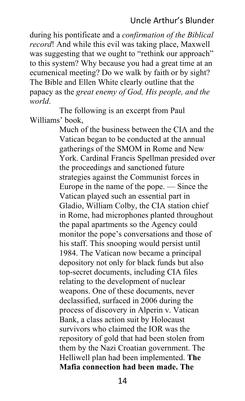## Uncle Arthur's Blunder

during his pontificate and a *confirmation of the Biblical record*! And while this evil was taking place, Maxwell was suggesting that we ought to "rethink our approach" to this system? Why because you had a great time at an ecumenical meeting? Do we walk by faith or by sight? The Bible and Ellen White clearly outline that the papacy as the *great enemy of God, His people, and the world*.

The following is an excerpt from Paul Williams' book,

> Much of the business between the CIA and the Vatican began to be conducted at the annual gatherings of the SMOM in Rome and New York. Cardinal Francis Spellman presided over the proceedings and sanctioned future strategies against the Communist forces in Europe in the name of the pope. — Since the Vatican played such an essential part in Gladio, William Colby, the CIA station chief in Rome, had microphones planted throughout the papal apartments so the Agency could monitor the pope's conversations and those of his staff. This snooping would persist until 1984. The Vatican now became a principal depository not only for black funds but also top-secret documents, including CIA files relating to the development of nuclear weapons. One of these documents, never declassified, surfaced in 2006 during the process of discovery in Alperin v. Vatican Bank, a class action suit by Holocaust survivors who claimed the IOR was the repository of gold that had been stolen from them by the Nazi Croatian government. The Helliwell plan had been implemented. **The Mafia connection had been made. The**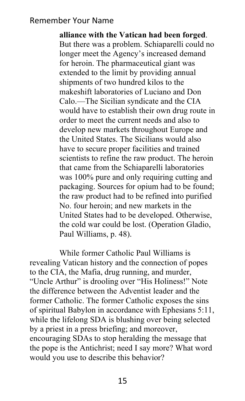**alliance with the Vatican had been forged**. But there was a problem. Schiaparelli could no longer meet the Agency's increased demand for heroin. The pharmaceutical giant was extended to the limit by providing annual shipments of two hundred kilos to the makeshift laboratories of Luciano and Don Calo.—The Sicilian syndicate and the CIA would have to establish their own drug route in order to meet the current needs and also to develop new markets throughout Europe and the United States. The Sicilians would also have to secure proper facilities and trained scientists to refine the raw product. The heroin that came from the Schiaparelli laboratories was 100% pure and only requiring cutting and packaging. Sources for opium had to be found; the raw product had to be refined into purified No. four heroin; and new markets in the United States had to be developed. Otherwise, the cold war could be lost. (Operation Gladio, Paul Williams, p. 48).

While former Catholic Paul Williams is revealing Vatican history and the connection of popes to the CIA, the Mafia, drug running, and murder, "Uncle Arthur" is drooling over "His Holiness!" Note the difference between the Adventist leader and the former Catholic. The former Catholic exposes the sins of spiritual Babylon in accordance with Ephesians 5:11, while the lifelong SDA is blushing over being selected by a priest in a press briefing; and moreover, encouraging SDAs to stop heralding the message that the pope is the Antichrist; need I say more? What word would you use to describe this behavior?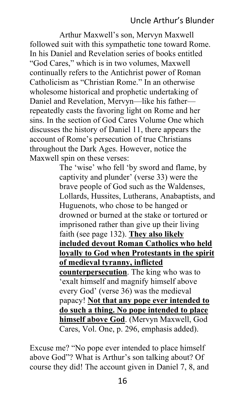## Uncle Arthur's Blunder

Arthur Maxwell's son, Mervyn Maxwell followed suit with this sympathetic tone toward Rome. In his Daniel and Revelation series of books entitled "God Cares," which is in two volumes, Maxwell continually refers to the Antichrist power of Roman Catholicism as "Christian Rome." In an otherwise wholesome historical and prophetic undertaking of Daniel and Revelation, Mervyn—like his father repeatedly casts the favoring light on Rome and her sins. In the section of God Cares Volume One which discusses the history of Daniel 11, there appears the account of Rome's persecution of true Christians throughout the Dark Ages. However, notice the Maxwell spin on these verses:

> The 'wise' who fell 'by sword and flame, by captivity and plunder' (verse 33) were the brave people of God such as the Waldenses, Lollards, Hussites, Lutherans, Anabaptists, and Huguenots, who chose to be hanged or drowned or burned at the stake or tortured or imprisoned rather than give up their living faith (see page 132). **They also likely included devout Roman Catholics who held loyally to God when Protestants in the spirit of medieval tyranny, inflicted counterpersecution**. The king who was to 'exalt himself and magnify himself above every God' (verse 36) was the medieval papacy! **Not that any pope ever intended to do such a thing. No pope intended to place himself above God**. (Mervyn Maxwell, God Cares, Vol. One, p. 296, emphasis added).

Excuse me? "No pope ever intended to place himself above God"? What is Arthur's son talking about? Of course they did! The account given in Daniel 7, 8, and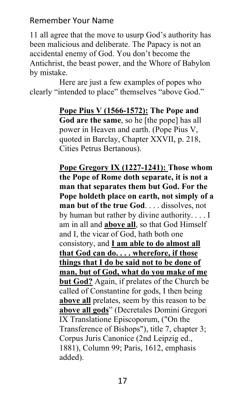11 all agree that the move to usurp God's authority has been malicious and deliberate. The Papacy is not an accidental enemy of God. You don't become the Antichrist, the beast power, and the Whore of Babylon by mistake.

Here are just a few examples of popes who clearly "intended to place" themselves "above God."

> **Pope Pius V (1566-1572): The Pope and God are the same**, so he [the pope] has all power in Heaven and earth. (Pope Pius V, quoted in Barclay, Chapter XXVII, p. 218, Cities Petrus Bertanous).

**Pope Gregory IX (1227-1241): Those whom the Pope of Rome doth separate, it is not a man that separates them but God. For the Pope holdeth place on earth, not simply of a man but of the true God**. . . . dissolves, not by human but rather by divine authority. . . . I am in all and **above all**, so that God Himself and I, the vicar of God, hath both one consistory, and **I am able to do almost all that God can do. . . . wherefore, if those things that I do be said not to be done of man, but of God, what do you make of me but God?** Again, if prelates of the Church be called of Constantine for gods, I then being **above all** prelates, seem by this reason to be **above all gods**" (Decretales Domini Gregori IX Translatione Episcoporum, ("On the Transference of Bishops"), title 7, chapter 3; Corpus Juris Canonice (2nd Leipzig ed., 1881), Column 99; Paris, 1612, emphasis added).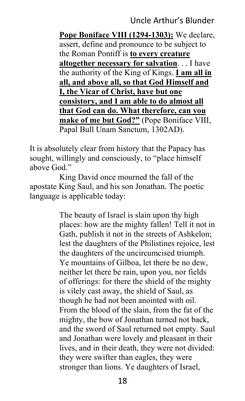## Uncle Arthur's Blunder

**Pope Boniface VIII (1294-1303):** We declare, assert, define and pronounce to be subject to the Roman Pontiff is **to every creature altogether necessary for salvation**. . . I have the authority of the King of Kings. **I am all in all, and above all, so that God Himself and I, the Vicar of Christ, have but one consistory, and I am able to do almost all that God can do. What therefore, can you make of me but God?"** (Pope Boniface VIII, Papal Bull Unam Sanctum, 1302AD).

It is absolutely clear from history that the Papacy has sought, willingly and consciously, to "place himself above God."

King David once mourned the fall of the apostate King Saul, and his son Jonathan. The poetic language is applicable today:

> The beauty of Israel is slain upon thy high places: how are the mighty fallen! Tell it not in Gath, publish it not in the streets of Ashkelon; lest the daughters of the Philistines rejoice, lest the daughters of the uncircumcised triumph. Ye mountains of Gilboa, let there be no dew, neither let there be rain, upon you, nor fields of offerings: for there the shield of the mighty is vilely cast away, the shield of Saul, as though he had not been anointed with oil. From the blood of the slain, from the fat of the mighty, the bow of Jonathan turned not back, and the sword of Saul returned not empty. Saul and Jonathan were lovely and pleasant in their lives, and in their death, they were not divided: they were swifter than eagles, they were stronger than lions. Ye daughters of Israel,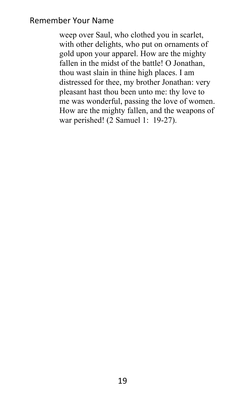weep over Saul, who clothed you in scarlet, with other delights, who put on ornaments of gold upon your apparel. How are the mighty fallen in the midst of the battle! O Jonathan, thou wast slain in thine high places. I am distressed for thee, my brother Jonathan: very pleasant hast thou been unto me: thy love to me was wonderful, passing the love of women. How are the mighty fallen, and the weapons of war perished! (2 Samuel 1: 19-27).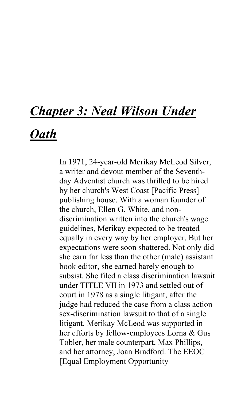# *Chapter 3: Neal Wilson Under*

## *Oath*

In 1971, 24-year-old Merikay McLeod Silver, a writer and devout member of the Seventhday Adventist church was thrilled to be hired by her church's West Coast [Pacific Press] publishing house. With a woman founder of the church, Ellen G. White, and nondiscrimination written into the church's wage guidelines, Merikay expected to be treated equally in every way by her employer. But her expectations were soon shattered. Not only did she earn far less than the other (male) assistant book editor, she earned barely enough to subsist. She filed a class discrimination lawsuit under TITLE VII in 1973 and settled out of court in 1978 as a single litigant, after the judge had reduced the case from a class action sex-discrimination lawsuit to that of a single litigant. Merikay McLeod was supported in her efforts by fellow-employees Lorna & Gus Tobler, her male counterpart, Max Phillips, and her attorney, Joan Bradford. The EEOC [Equal Employment Opportunity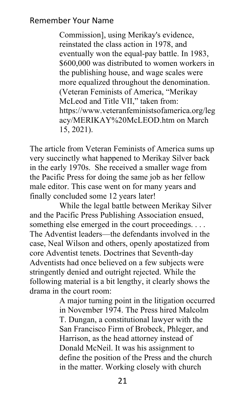Commission], using Merikay's evidence, reinstated the class action in 1978, and eventually won the equal-pay battle. In 1983, \$600,000 was distributed to women workers in the publishing house, and wage scales were more equalized throughout the denomination. (Veteran Feminists of America, "Merikay McLeod and Title VII," taken from: https://www.veteranfeministsofamerica.org/leg acy/MERIKAY%20McLEOD.htm on March 15, 2021).

The article from Veteran Feminists of America sums up very succinctly what happened to Merikay Silver back in the early 1970s. She received a smaller wage from the Pacific Press for doing the same job as her fellow male editor. This case went on for many years and finally concluded some 12 years later!

While the legal battle between Merikay Silver and the Pacific Press Publishing Association ensued, something else emerged in the court proceedings. . . . The Adventist leaders—the defendants involved in the case, Neal Wilson and others, openly apostatized from core Adventist tenets. Doctrines that Seventh-day Adventists had once believed on a few subjects were stringently denied and outright rejected. While the following material is a bit lengthy, it clearly shows the drama in the court room:

A major turning point in the litigation occurred in November 1974. The Press hired Malcolm T. Dungan, a constitutional lawyer with the San Francisco Firm of Brobeck, Phleger, and Harrison, as the head attorney instead of Donald McNeil. It was his assignment to define the position of the Press and the church in the matter. Working closely with church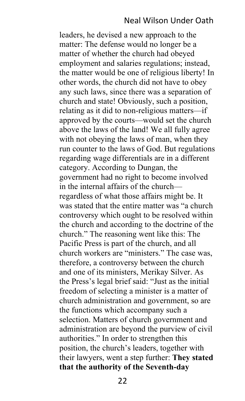## Neal Wilson Under Oath

leaders, he devised a new approach to the matter: The defense would no longer be a matter of whether the church had obeyed employment and salaries regulations; instead, the matter would be one of religious liberty! In other words, the church did not have to obey any such laws, since there was a separation of church and state! Obviously, such a position, relating as it did to non-religious matters—if approved by the courts—would set the church above the laws of the land! We all fully agree with not obeying the laws of man, when they run counter to the laws of God. But regulations regarding wage differentials are in a different category. According to Dungan, the government had no right to become involved in the internal affairs of the church regardless of what those affairs might be. It was stated that the entire matter was "a church controversy which ought to be resolved within the church and according to the doctrine of the church." The reasoning went like this: The Pacific Press is part of the church, and all church workers are "ministers." The case was, therefore, a controversy between the church and one of its ministers, Merikay Silver. As the Press's legal brief said: "Just as the initial freedom of selecting a minister is a matter of church administration and government, so are the functions which accompany such a selection. Matters of church government and administration are beyond the purview of civil authorities." In order to strengthen this position, the church's leaders, together with their lawyers, went a step further: **They stated that the authority of the Seventh-day**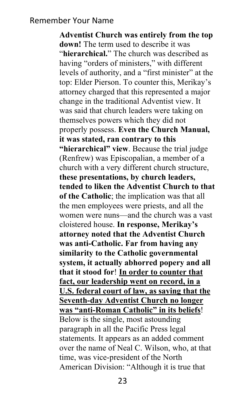**Adventist Church was entirely from the top down!** The term used to describe it was "**hierarchical.**" The church was described as having "orders of ministers," with different levels of authority, and a "first minister" at the top: Elder Pierson. To counter this, Merikay's attorney charged that this represented a major change in the traditional Adventist view. It was said that church leaders were taking on themselves powers which they did not properly possess. **Even the Church Manual, it was stated, ran contrary to this "hierarchical" view**. Because the trial judge (Renfrew) was Episcopalian, a member of a church with a very different church structure, **these presentations, by church leaders, tended to liken the Adventist Church to that of the Catholic**; the implication was that all the men employees were priests, and all the women were nuns—and the church was a vast cloistered house. **In response, Merikay's attorney noted that the Adventist Church was anti-Catholic. Far from having any similarity to the Catholic governmental system, it actually abhorred popery and all that it stood for**! **In order to counter that fact, our leadership went on record, in a U.S. federal court of law, as saying that the Seventh-day Adventist Church no longer was "anti-Roman Catholic" in its beliefs**! Below is the single, most astounding paragraph in all the Pacific Press legal statements. It appears as an added comment over the name of Neal C. Wilson, who, at that time, was vice-president of the North American Division: "Although it is true that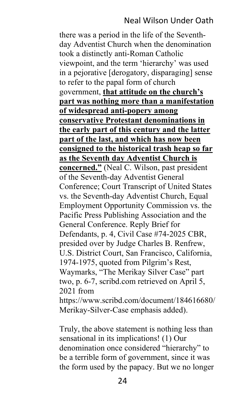#### Neal Wilson Under Oath

there was a period in the life of the Seventhday Adventist Church when the denomination took a distinctly anti-Roman Catholic viewpoint, and the term 'hierarchy' was used in a pejorative [derogatory, disparaging] sense to refer to the papal form of church government, **that attitude on the church's part was nothing more than a manifestation of widespread anti-popery among conservative Protestant denominations in the early part of this century and the latter part of the last, and which has now been consigned to the historical trash heap so far as the Seventh day Adventist Church is concerned."** (Neal C. Wilson, past president of the Seventh-day Adventist General Conference; Court Transcript of United States vs. the Seventh-day Adventist Church, Equal Employment Opportunity Commission vs. the Pacific Press Publishing Association and the General Conference. Reply Brief for Defendants, p. 4, Civil Case #74-2025 CBR, presided over by Judge Charles B. Renfrew, U.S. District Court, San Francisco, California, 1974-1975, quoted from Pilgrim's Rest, Waymarks, "The Merikay Silver Case" part two, p. 6-7, scribd.com retrieved on April 5, 2021 from https://www.scribd.com/document/184616680/

Merikay-Silver-Case emphasis added).

Truly, the above statement is nothing less than sensational in its implications! (1) Our denomination once considered "hierarchy" to be a terrible form of government, since it was the form used by the papacy. But we no longer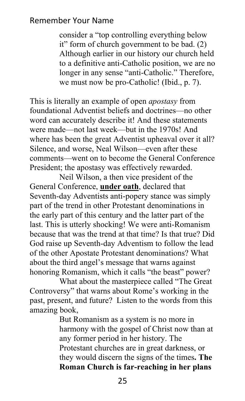consider a "top controlling everything below it" form of church government to be bad. (2) Although earlier in our history our church held to a definitive anti-Catholic position, we are no longer in any sense "anti-Catholic." Therefore, we must now be pro-Catholic! (Ibid., p. 7).

This is literally an example of open *apostasy* from foundational Adventist beliefs and doctrines—no other word can accurately describe it! And these statements were made—not last week—but in the 1970s! And where has been the great Adventist upheaval over it all? Silence, and worse, Neal Wilson—even after these comments—went on to become the General Conference President; the apostasy was effectively rewarded.

Neil Wilson, a then vice president of the General Conference, **under oath**, declared that Seventh-day Adventists anti-popery stance was simply part of the trend in other Protestant denominations in the early part of this century and the latter part of the last. This is utterly shocking! We were anti-Romanism because that was the trend at that time? Is that true? Did God raise up Seventh-day Adventism to follow the lead of the other Apostate Protestant denominations? What about the third angel's message that warns against honoring Romanism, which it calls "the beast" power?

What about the masterpiece called "The Great Controversy" that warns about Rome's working in the past, present, and future? Listen to the words from this amazing book,

> But Romanism as a system is no more in harmony with the gospel of Christ now than at any former period in her history. The Protestant churches are in great darkness, or they would discern the signs of the times**. The Roman Church is far-reaching in her plans**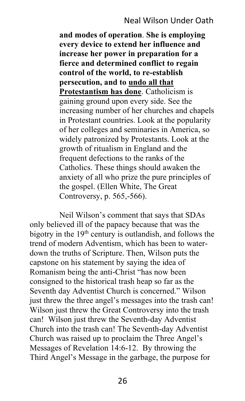## Neal Wilson Under Oath

**and modes of operation**. **She is employing every device to extend her influence and increase her power in preparation for a fierce and determined conflict to regain control of the world, to re-establish persecution, and to undo all that Protestantism has done**. Catholicism is gaining ground upon every side. See the increasing number of her churches and chapels in Protestant countries. Look at the popularity of her colleges and seminaries in America, so widely patronized by Protestants. Look at the growth of ritualism in England and the frequent defections to the ranks of the Catholics. These things should awaken the anxiety of all who prize the pure principles of the gospel. (Ellen White, The Great Controversy, p. 565,-566).

Neil Wilson's comment that says that SDAs only believed ill of the papacy because that was the bigotry in the 19<sup>th</sup> century is outlandish, and follows the trend of modern Adventism, which has been to waterdown the truths of Scripture. Then, Wilson puts the capstone on his statement by saying the idea of Romanism being the anti-Christ "has now been consigned to the historical trash heap so far as the Seventh day Adventist Church is concerned." Wilson just threw the three angel's messages into the trash can! Wilson just threw the Great Controversy into the trash can! Wilson just threw the Seventh-day Adventist Church into the trash can! The Seventh-day Adventist Church was raised up to proclaim the Three Angel's Messages of Revelation 14:6-12. By throwing the Third Angel's Message in the garbage, the purpose for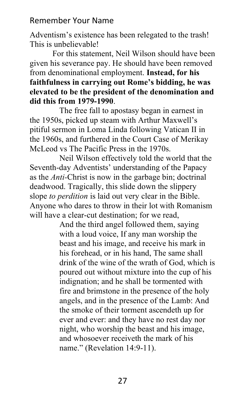Adventism's existence has been relegated to the trash! This is unbelievable!

 For this statement, Neil Wilson should have been given his severance pay. He should have been removed from denominational employment. **Instead, for his faithfulness in carrying out Rome's bidding, he was elevated to be the president of the denomination and did this from 1979-1990**.

The free fall to apostasy began in earnest in the 1950s, picked up steam with Arthur Maxwell's pitiful sermon in Loma Linda following Vatican II in the 1960s, and furthered in the Court Case of Merikay McLeod vs The Pacific Press in the 1970s.

Neil Wilson effectively told the world that the Seventh-day Adventists' understanding of the Papacy as the *Anti-*Christ is now in the garbage bin; doctrinal deadwood. Tragically, this slide down the slippery slope *to perdition* is laid out very clear in the Bible. Anyone who dares to throw in their lot with Romanism will have a clear-cut destination; for we read,

And the third angel followed them, saying with a loud voice, If any man worship the beast and his image, and receive his mark in his forehead, or in his hand, The same shall drink of the wine of the wrath of God, which is poured out without mixture into the cup of his indignation; and he shall be tormented with fire and brimstone in the presence of the holy angels, and in the presence of the Lamb: And the smoke of their torment ascendeth up for ever and ever: and they have no rest day nor night, who worship the beast and his image, and whosoever receiveth the mark of his name." (Revelation 14:9-11).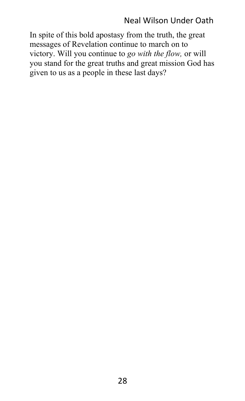## Neal Wilson Under Oath

In spite of this bold apostasy from the truth, the great messages of Revelation continue to march on to victory. Will you continue to *go with the flow,* or will you stand for the great truths and great mission God has given to us as a people in these last days?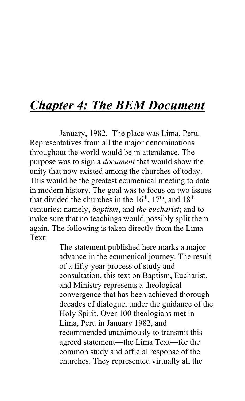## *Chapter 4: The BEM Document*

January, 1982. The place was Lima, Peru. Representatives from all the major denominations throughout the world would be in attendance. The purpose was to sign a *document* that would show the unity that now existed among the churches of today. This would be the greatest ecumenical meeting to date in modern history. The goal was to focus on two issues that divided the churches in the  $16<sup>th</sup>$ ,  $17<sup>th</sup>$ , and  $18<sup>th</sup>$ centuries; namely, *baptism*, and *the eucharist*; and to make sure that no teachings would possibly split them again. The following is taken directly from the Lima Text:

> The statement published here marks a major advance in the ecumenical journey. The result of a fifty-year process of study and consultation, this text on Baptism, Eucharist, and Ministry represents a theological convergence that has been achieved thorough decades of dialogue, under the guidance of the Holy Spirit. Over 100 theologians met in Lima, Peru in January 1982, and recommended unanimously to transmit this agreed statement—the Lima Text—for the common study and official response of the churches. They represented virtually all the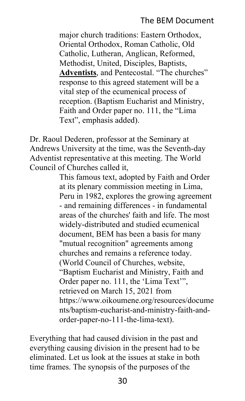## The BEM Document

major church traditions: Eastern Orthodox, Oriental Orthodox, Roman Catholic, Old Catholic, Lutheran, Anglican, Reformed, Methodist, United, Disciples, Baptists, **Adventists**, and Pentecostal. "The churches" response to this agreed statement will be a vital step of the ecumenical process of reception. (Baptism Eucharist and Ministry, Faith and Order paper no. 111, the "Lima Text", emphasis added).

Dr. Raoul Dederen, professor at the Seminary at Andrews University at the time, was the Seventh-day Adventist representative at this meeting. The World Council of Churches called it,

> This famous text, adopted by Faith and Order at its plenary commission meeting in Lima, Peru in 1982, explores the growing agreement - and remaining differences - in fundamental areas of the churches' faith and life. The most widely-distributed and studied ecumenical document, BEM has been a basis for many "mutual recognition" agreements among churches and remains a reference today. (World Council of Churches, website, "Baptism Eucharist and Ministry, Faith and Order paper no. 111, the 'Lima Text'", retrieved on March 15, 2021 from https://www.oikoumene.org/resources/docume nts/baptism-eucharist-and-ministry-faith-andorder-paper-no-111-the-lima-text).

Everything that had caused division in the past and everything causing division in the present had to be eliminated. Let us look at the issues at stake in both time frames. The synopsis of the purposes of the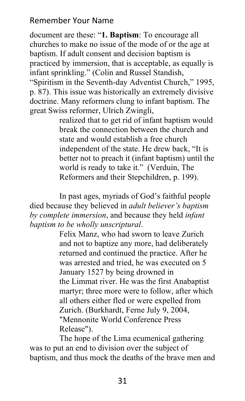document are these: "**1. Baptism**: To encourage all churches to make no issue of the mode of or the age at baptism. If adult consent and decision baptism is practiced by immersion, that is acceptable, as equally is infant sprinkling." (Colin and Russel Standish, "Spiritism in the Seventh-day Adventist Church," 1995, p. 87). This issue was historically an extremely divisive doctrine. Many reformers clung to infant baptism. The great Swiss reformer, Ulrich Zwingli,

> realized that to get rid of infant baptism would break the connection between the church and state and would establish a free church independent of the state. He drew back, "It is better not to preach it (infant baptism) until the world is ready to take it." (Verduin, The Reformers and their Stepchildren, p. 199).

In past ages, myriads of God's faithful people died because they believed in *adult believer's baptism by complete immersion*, and because they held *infant baptism to be wholly unscriptural*.

> Felix Manz, who had sworn to leave Zurich and not to baptize any more, had deliberately returned and continued the practice. After he was arrested and tried, he was executed on 5 January 1527 by being drowned in the Limmat river. He was the first Anabaptist martyr; three more were to follow, after which all others either fled or were expelled from Zurich. (Burkhardt, Ferne July 9, 2004, "Mennonite World Conference Press Release").

The hope of the Lima ecumenical gathering was to put an end to division over the subject of baptism, and thus mock the deaths of the brave men and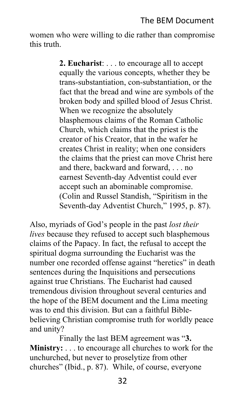women who were willing to die rather than compromise this truth.

> **2. Eucharist**: . . . to encourage all to accept equally the various concepts, whether they be trans-substantiation, con-substantiation, or the fact that the bread and wine are symbols of the broken body and spilled blood of Jesus Christ. When we recognize the absolutely blasphemous claims of the Roman Catholic Church, which claims that the priest is the creator of his Creator, that in the wafer he creates Christ in reality; when one considers the claims that the priest can move Christ here and there, backward and forward, . . . no earnest Seventh-day Adventist could ever accept such an abominable compromise. (Colin and Russel Standish, "Spiritism in the Seventh-day Adventist Church," 1995, p. 87).

Also, myriads of God's people in the past *lost their lives* because they refused to accept such blasphemous claims of the Papacy. In fact, the refusal to accept the spiritual dogma surrounding the Eucharist was the number one recorded offense against "heretics" in death sentences during the Inquisitions and persecutions against true Christians. The Eucharist had caused tremendous division throughout several centuries and the hope of the BEM document and the Lima meeting was to end this division. But can a faithful Biblebelieving Christian compromise truth for worldly peace and unity?

Finally the last BEM agreement was "**3. Ministry:** . . . to encourage all churches to work for the unchurched, but never to proselytize from other churches" (Ibid., p. 87). While, of course, everyone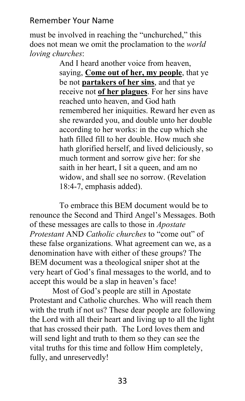must be involved in reaching the "unchurched," this does not mean we omit the proclamation to the *world loving churches*:

And I heard another voice from heaven, saying, **Come out of her, my people**, that ye be not **partakers of her sins**, and that ye receive not **of her plagues**. For her sins have reached unto heaven, and God hath remembered her iniquities. Reward her even as she rewarded you, and double unto her double according to her works: in the cup which she hath filled fill to her double. How much she hath glorified herself, and lived deliciously, so much torment and sorrow give her: for she saith in her heart, I sit a queen, and am no widow, and shall see no sorrow. (Revelation 18:4-7, emphasis added).

To embrace this BEM document would be to renounce the Second and Third Angel's Messages. Both of these messages are calls to those in *Apostate Protestant* AND *Catholic churches* to "come out" of these false organizations. What agreement can we, as a denomination have with either of these groups? The BEM document was a theological sniper shot at the very heart of God's final messages to the world, and to accept this would be a slap in heaven's face!

 Most of God's people are still in Apostate Protestant and Catholic churches. Who will reach them with the truth if not us? These dear people are following the Lord with all their heart and living up to all the light that has crossed their path. The Lord loves them and will send light and truth to them so they can see the vital truths for this time and follow Him completely, fully, and unreservedly!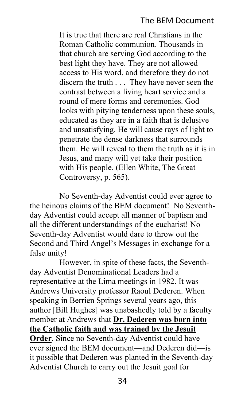## The BEM Document

It is true that there are real Christians in the Roman Catholic communion. Thousands in that church are serving God according to the best light they have. They are not allowed access to His word, and therefore they do not discern the truth . . . They have never seen the contrast between a living heart service and a round of mere forms and ceremonies. God looks with pitying tenderness upon these souls, educated as they are in a faith that is delusive and unsatisfying. He will cause rays of light to penetrate the dense darkness that surrounds them. He will reveal to them the truth as it is in Jesus, and many will yet take their position with His people. (Ellen White, The Great Controversy, p. 565).

No Seventh-day Adventist could ever agree to the heinous claims of the BEM document! No Seventhday Adventist could accept all manner of baptism and all the different understandings of the eucharist! No Seventh-day Adventist would dare to throw out the Second and Third Angel's Messages in exchange for a false unity!

However, in spite of these facts, the Seventhday Adventist Denominational Leaders had a representative at the Lima meetings in 1982. It was Andrews University professor Raoul Dederen. When speaking in Berrien Springs several years ago, this author [Bill Hughes] was unabashedly told by a faculty member at Andrews that **Dr. Dederen was born into the Catholic faith and was trained by the Jesuit Order**. Since no Seventh-day Adventist could have ever signed the BEM document—and Dederen did—is it possible that Dederen was planted in the Seventh-day Adventist Church to carry out the Jesuit goal for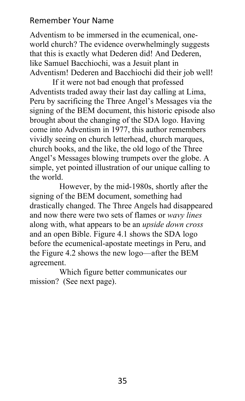Adventism to be immersed in the ecumenical, oneworld church? The evidence overwhelmingly suggests that this is exactly what Dederen did! And Dederen, like Samuel Bacchiochi, was a Jesuit plant in Adventism! Dederen and Bacchiochi did their job well!

 If it were not bad enough that professed Adventists traded away their last day calling at Lima, Peru by sacrificing the Three Angel's Messages via the signing of the BEM document, this historic episode also brought about the changing of the SDA logo. Having come into Adventism in 1977, this author remembers vividly seeing on church letterhead, church marques, church books, and the like, the old logo of the Three Angel's Messages blowing trumpets over the globe. A simple, yet pointed illustration of our unique calling to the world.

However, by the mid-1980s, shortly after the signing of the BEM document, something had drastically changed. The Three Angels had disappeared and now there were two sets of flames or *wavy lines* along with, what appears to be an *upside down cross* and an open Bible. Figure 4.1 shows the SDA logo before the ecumenical-apostate meetings in Peru, and the Figure 4.2 shows the new logo—after the BEM agreement.

Which figure better communicates our mission? (See next page).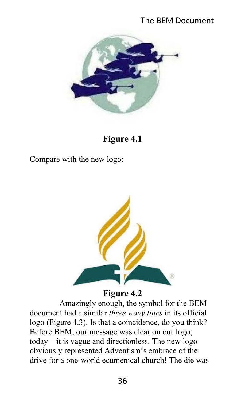## The BEM Document



**Figure 4.1**

Compare with the new logo:



## **Figure 4.2**

Amazingly enough, the symbol for the BEM document had a similar *three wavy lines* in its official logo (Figure 4.3). Is that a coincidence, do you think? Before BEM, our message was clear on our logo; today—it is vague and directionless. The new logo obviously represented Adventism's embrace of the drive for a one-world ecumenical church! The die was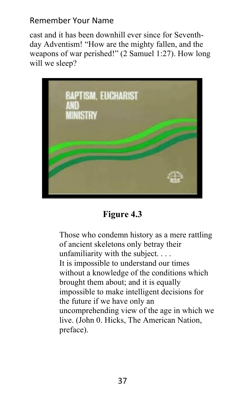cast and it has been downhill ever since for Seventhday Adventism! "How are the mighty fallen, and the weapons of war perished!" (2 Samuel 1:27). How long will we sleep?



**Figure 4.3**

Those who condemn history as a mere rattling of ancient skeletons only betray their unfamiliarity with the subject. . . . It is impossible to understand our times without a knowledge of the conditions which brought them about; and it is equally impossible to make intelligent decisions for the future if we have only an uncomprehending view of the age in which we live. (John 0. Hicks, The American Nation, preface).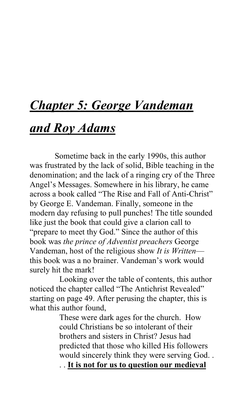# *Chapter 5: George Vandeman*

## *and Roy Adams*

 Sometime back in the early 1990s, this author was frustrated by the lack of solid, Bible teaching in the denomination; and the lack of a ringing cry of the Three Angel's Messages. Somewhere in his library, he came across a book called "The Rise and Fall of Anti-Christ" by George E. Vandeman. Finally, someone in the modern day refusing to pull punches! The title sounded like just the book that could give a clarion call to "prepare to meet thy God." Since the author of this book was *the prince of Adventist preachers* George Vandeman, host of the religious show *It is Written* this book was a no brainer. Vandeman's work would surely hit the mark!

Looking over the table of contents, this author noticed the chapter called "The Antichrist Revealed" starting on page 49. After perusing the chapter, this is what this author found,

> These were dark ages for the church. How could Christians be so intolerant of their brothers and sisters in Christ? Jesus had predicted that those who killed His followers would sincerely think they were serving God. .

. . **It is not for us to question our medieval**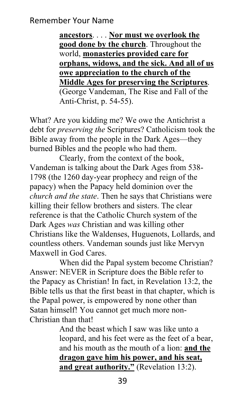**ancestors**. . . . **Nor must we overlook the good done by the church**. Throughout the world, **monasteries provided care for orphans, widows, and the sick. And all of us owe appreciation to the church of the Middle Ages for preserving the Scriptures**. (George Vandeman, The Rise and Fall of the Anti-Christ, p. 54-55).

What? Are you kidding me? We owe the Antichrist a debt for *preserving the* Scriptures? Catholicism took the Bible away from the people in the Dark Ages—they burned Bibles and the people who had them.

Clearly, from the context of the book, Vandeman is talking about the Dark Ages from 538- 1798 (the 1260 day-year prophecy and reign of the papacy) when the Papacy held dominion over the *church and the state*. Then he says that Christians were killing their fellow brothers and sisters. The clear reference is that the Catholic Church system of the Dark Ages *was* Christian and was killing other Christians like the Waldenses, Huguenots, Lollards, and countless others. Vandeman sounds just like Mervyn Maxwell in God Cares.

When did the Papal system become Christian? Answer: NEVER in Scripture does the Bible refer to the Papacy as Christian! In fact, in Revelation 13:2, the Bible tells us that the first beast in that chapter, which is the Papal power, is empowered by none other than Satan himself! You cannot get much more non-Christian than that!

> And the beast which I saw was like unto a leopard, and his feet were as the feet of a bear, and his mouth as the mouth of a lion: **and the dragon gave him his power, and his seat, and great authority."** (Revelation 13:2).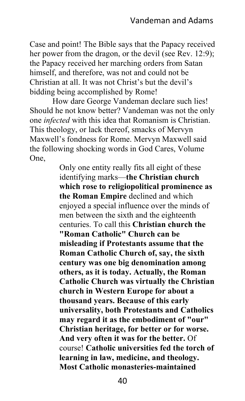Case and point! The Bible says that the Papacy received her power from the dragon, or the devil (see Rev. 12:9); the Papacy received her marching orders from Satan himself, and therefore, was not and could not be Christian at all. It was not Christ's but the devil's bidding being accomplished by Rome!

 How dare George Vandeman declare such lies! Should he not know better? Vandeman was not the only one *infected* with this idea that Romanism is Christian. This theology, or lack thereof, smacks of Mervyn Maxwell's fondness for Rome. Mervyn Maxwell said the following shocking words in God Cares, Volume One,

> Only one entity really fits all eight of these identifying marks—**the Christian church which rose to religiopolitical prominence as the Roman Empire** declined and which enjoyed a special influence over the minds of men between the sixth and the eighteenth centuries. To call this **Christian church the "Roman Catholic" Church can be misleading if Protestants assume that the Roman Catholic Church of, say, the sixth century was one big denomination among others, as it is today. Actually, the Roman Catholic Church was virtually the Christian church in Western Europe for about a thousand years. Because of this early universality, both Protestants and Catholics may regard it as the embodiment of "our" Christian heritage, for better or for worse. And very often it was for the better.** Of course! **Catholic universities fed the torch of learning in law, medicine, and theology. Most Catholic monasteries-maintained**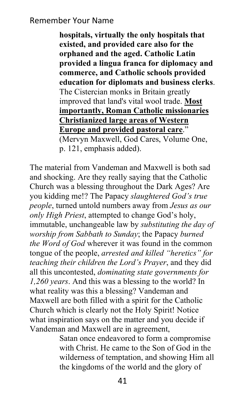**hospitals, virtually the only hospitals that existed, and provided care also for the orphaned and the aged. Catholic Latin provided a lingua franca for diplomacy and commerce, and Catholic schools provided education for diplomats and business clerks**. The Cistercian monks in Britain greatly improved that land's vital wool trade. **Most importantly, Roman Catholic missionaries Christianized large areas of Western Europe and provided pastoral care**." (Mervyn Maxwell, God Cares, Volume One, p. 121, emphasis added).

The material from Vandeman and Maxwell is both sad and shocking. Are they really saying that the Catholic Church was a blessing throughout the Dark Ages? Are you kidding me!? The Papacy *slaughtered God's true people*, turned untold numbers away from *Jesus as our only High Priest*, attempted to change God's holy, immutable, unchangeable law by *substituting the day of worship from Sabbath to Sunday*; the Papacy *burned the Word of God* wherever it was found in the common tongue of the people, *arrested and killed "heretics" for teaching their children the Lord's Prayer*, and they did all this uncontested, *dominating state governments for 1,260 years*. And this was a blessing to the world? In what reality was this a blessing? Vandeman and Maxwell are both filled with a spirit for the Catholic Church which is clearly not the Holy Spirit! Notice what inspiration says on the matter and you decide if Vandeman and Maxwell are in agreement,

> Satan once endeavored to form a compromise with Christ. He came to the Son of God in the wilderness of temptation, and showing Him all the kingdoms of the world and the glory of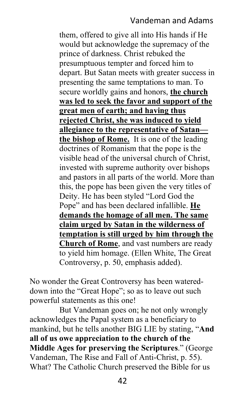#### Vandeman and Adams

them, offered to give all into His hands if He would but acknowledge the supremacy of the prince of darkness. Christ rebuked the presumptuous tempter and forced him to depart. But Satan meets with greater success in presenting the same temptations to man. To secure worldly gains and honors, **the church was led to seek the favor and support of the great men of earth; and having thus rejected Christ, she was induced to yield allegiance to the representative of Satan the bishop of Rome.** It is one of the leading doctrines of Romanism that the pope is the visible head of the universal church of Christ, invested with supreme authority over bishops and pastors in all parts of the world. More than this, the pope has been given the very titles of Deity. He has been styled "Lord God the Pope" and has been declared infallible. **He demands the homage of all men. The same claim urged by Satan in the wilderness of temptation is still urged by him through the Church of Rome**, and vast numbers are ready to yield him homage. (Ellen White, The Great Controversy, p. 50, emphasis added).

No wonder the Great Controversy has been watereddown into the "Great Hope"; so as to leave out such powerful statements as this one!

But Vandeman goes on; he not only wrongly acknowledges the Papal system as a beneficiary to mankind, but he tells another BIG LIE by stating, "**And all of us owe appreciation to the church of the Middle Ages for preserving the Scriptures**." (George Vandeman, The Rise and Fall of Anti-Christ, p. 55). What? The Catholic Church preserved the Bible for us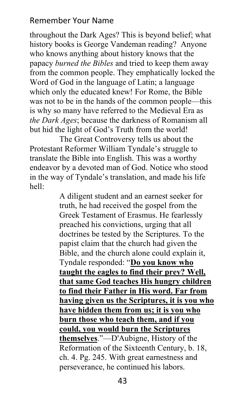throughout the Dark Ages? This is beyond belief; what history books is George Vandeman reading? Anyone who knows anything about history knows that the papacy *burned the Bibles* and tried to keep them away from the common people. They emphatically locked the Word of God in the language of Latin; a language which only the educated knew! For Rome, the Bible was not to be in the hands of the common people—this is why so many have referred to the Medieval Era as *the Dark Ages*; because the darkness of Romanism all but hid the light of God's Truth from the world!

The Great Controversy tells us about the Protestant Reformer William Tyndale's struggle to translate the Bible into English. This was a worthy endeavor by a devoted man of God. Notice who stood in the way of Tyndale's translation, and made his life hell:

> A diligent student and an earnest seeker for truth, he had received the gospel from the Greek Testament of Erasmus. He fearlessly preached his convictions, urging that all doctrines be tested by the Scriptures. To the papist claim that the church had given the Bible, and the church alone could explain it, Tyndale responded: "**Do you know who taught the eagles to find their prey? Well, that same God teaches His hungry children to find their Father in His word. Far from having given us the Scriptures, it is you who have hidden them from us; it is you who burn those who teach them, and if you could, you would burn the Scriptures themselves**."—D'Aubigne, History of the Reformation of the Sixteenth Century, b. 18, ch. 4. Pg. 245. With great earnestness and perseverance, he continued his labors.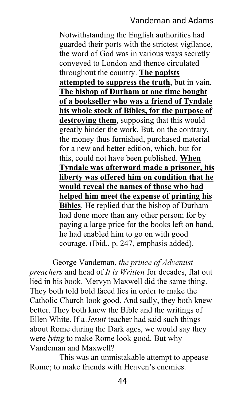#### Vandeman and Adams

Notwithstanding the English authorities had guarded their ports with the strictest vigilance, the word of God was in various ways secretly conveyed to London and thence circulated throughout the country. **The papists attempted to suppress the truth**, but in vain. **The bishop of Durham at one time bought of a bookseller who was a friend of Tyndale his whole stock of Bibles, for the purpose of destroying them**, supposing that this would greatly hinder the work. But, on the contrary, the money thus furnished, purchased material for a new and better edition, which, but for this, could not have been published. **When Tyndale was afterward made a prisoner, his liberty was offered him on condition that he would reveal the names of those who had helped him meet the expense of printing his Bibles**. He replied that the bishop of Durham had done more than any other person; for by paying a large price for the books left on hand, he had enabled him to go on with good courage. (Ibid., p. 247, emphasis added).

 George Vandeman, *the prince of Adventist preachers* and head of *It is Written* for decades, flat out lied in his book. Mervyn Maxwell did the same thing. They both told bold faced lies in order to make the Catholic Church look good. And sadly, they both knew better. They both knew the Bible and the writings of Ellen White. If a *Jesuit* teacher had said such things about Rome during the Dark ages, we would say they were *lying* to make Rome look good. But why Vandeman and Maxwell?

This was an unmistakable attempt to appease Rome; to make friends with Heaven's enemies.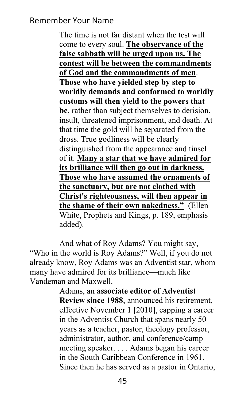The time is not far distant when the test will come to every soul. **The observance of the false sabbath will be urged upon us. The contest will be between the commandments of God and the commandments of men**. **Those who have yielded step by step to worldly demands and conformed to worldly customs will then yield to the powers that be**, rather than subject themselves to derision, insult, threatened imprisonment, and death. At that time the gold will be separated from the dross. True godliness will be clearly distinguished from the appearance and tinsel of it. **Many a star that we have admired for its brilliance will then go out in darkness. Those who have assumed the ornaments of the sanctuary, but are not clothed with Christ's righteousness, will then appear in the shame of their own nakedness."** (Ellen White, Prophets and Kings, p. 189, emphasis added).

And what of Roy Adams? You might say, "Who in the world is Roy Adams?" Well, if you do not already know, Roy Adams was an Adventist star, whom many have admired for its brilliance—much like Vandeman and Maxwell.

> Adams, an **associate editor of Adventist Review since 1988**, announced his retirement, effective November 1 [2010], capping a career in the Adventist Church that spans nearly 50 years as a teacher, pastor, theology professor, administrator, author, and conference/camp meeting speaker. . . . Adams began his career in the South Caribbean Conference in 1961. Since then he has served as a pastor in Ontario,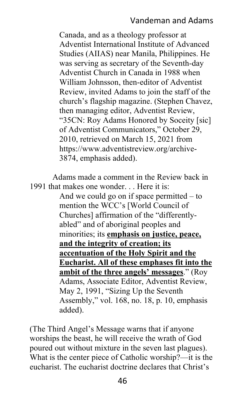#### Vandeman and Adams

Canada, and as a theology professor at Adventist International Institute of Advanced Studies (AIIAS) near Manila, Philippines. He was serving as secretary of the Seventh-day Adventist Church in Canada in 1988 when William Johnsson, then-editor of Adventist Review, invited Adams to join the staff of the church's flagship magazine. (Stephen Chavez, then managing editor, Adventist Review, "35CN: Roy Adams Honored by Soceity [sic] of Adventist Communicators," October 29, 2010, retrieved on March 15, 2021 from https://www.adventistreview.org/archive-3874, emphasis added).

 Adams made a comment in the Review back in 1991 that makes one wonder. . . Here it is: And we could go on if space permitted  $-$  to mention the WCC's [World Council of Churches] affirmation of the "differentlyabled" and of aboriginal peoples and minorities; its **emphasis on justice, peace, and the integrity of creation; its accentuation of the Holy Spirit and the Eucharist. All of these emphases fit into the ambit of the three angels' messages**." (Roy Adams, Associate Editor, Adventist Review, May 2, 1991, "Sizing Up the Seventh Assembly," vol. 168, no. 18, p. 10, emphasis added).

(The Third Angel's Message warns that if anyone worships the beast, he will receive the wrath of God poured out without mixture in the seven last plagues). What is the center piece of Catholic worship?—it is the eucharist. The eucharist doctrine declares that Christ's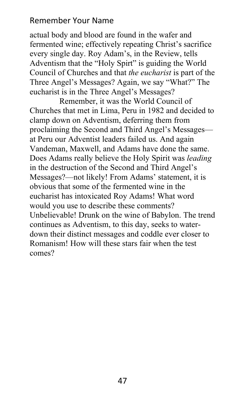actual body and blood are found in the wafer and fermented wine; effectively repeating Christ's sacrifice every single day. Roy Adam's, in the Review, tells Adventism that the "Holy Spirt" is guiding the World Council of Churches and that *the eucharist* is part of the Three Angel's Messages? Again, we say "What?" The eucharist is in the Three Angel's Messages?

Remember, it was the World Council of Churches that met in Lima, Peru in 1982 and decided to clamp down on Adventism, deferring them from proclaiming the Second and Third Angel's Messages at Peru our Adventist leaders failed us. And again Vandeman, Maxwell, and Adams have done the same. Does Adams really believe the Holy Spirit was *leading* in the destruction of the Second and Third Angel's Messages?—not likely! From Adams' statement, it is obvious that some of the fermented wine in the eucharist has intoxicated Roy Adams! What word would you use to describe these comments? Unbelievable! Drunk on the wine of Babylon. The trend continues as Adventism, to this day, seeks to waterdown their distinct messages and coddle ever closer to Romanism! How will these stars fair when the test comes?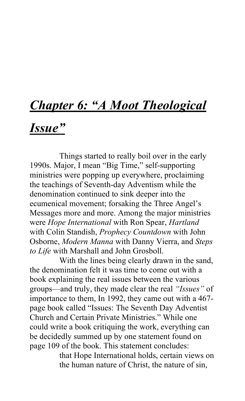# *Chapter 6: "A Moot Theological*

## *Issue"*

Things started to really boil over in the early 1990s. Major, I mean "Big Time," self-supporting ministries were popping up everywhere, proclaiming the teachings of Seventh-day Adventism while the denomination continued to sink deeper into the ecumenical movement; forsaking the Three Angel's Messages more and more. Among the major ministries were *Hope International* with Ron Spear, *Hartland* with Colin Standish, *Prophecy Countdown* with John Osborne, *Modern Manna* with Danny Vierra, and *Steps to Life* with Marshall and John Grosboll.

With the lines being clearly drawn in the sand, the denomination felt it was time to come out with a book explaining the real issues between the various groups—and truly, they made clear the real *"Issues"* of importance to them, In 1992, they came out with a 467 page book called "Issues: The Seventh Day Adventist Church and Certain Private Ministries." While one could write a book critiquing the work, everything can be decidedly summed up by one statement found on page 109 of the book. This statement concludes:

> that Hope International holds, certain views on the human nature of Christ, the nature of sin,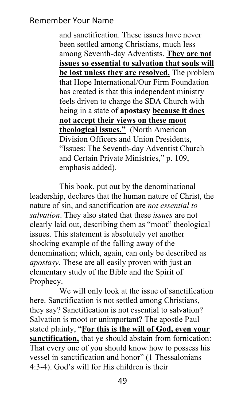and sanctification. These issues have never been settled among Christians, much less among Seventh-day Adventists. **They are not issues so essential to salvation that souls will be lost unless they are resolved.** The problem that Hope International/Our Firm Foundation has created is that this independent ministry feels driven to charge the SDA Church with being in a state of **apostasy because it does not accept their views on these moot theological issues."** (North American Division Officers and Union Presidents, "Issues: The Seventh-day Adventist Church and Certain Private Ministries," p. 109, emphasis added).

This book, put out by the denominational leadership, declares that the human nature of Christ, the nature of sin, and sanctification are *not essential to salvation*. They also stated that these *issues* are not clearly laid out, describing them as "moot" theological issues. This statement is absolutely yet another shocking example of the falling away of the denomination; which, again, can only be described as *apostasy*. These are all easily proven with just an elementary study of the Bible and the Spirit of Prophecy.

We will only look at the issue of sanctification here. Sanctification is not settled among Christians, they say? Sanctification is not essential to salvation? Salvation is moot or unimportant? The apostle Paul stated plainly, "**For this is the will of God, even your sanctification,** that ye should abstain from fornication: That every one of you should know how to possess his vessel in sanctification and honor" (1 Thessalonians 4:3-4). God's will for His children is their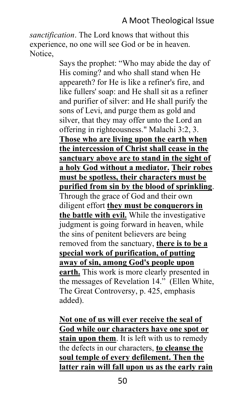## A Moot Theological Issue

*sanctification*. The Lord knows that without this experience, no one will see God or be in heaven. Notice,

> Says the prophet: "Who may abide the day of His coming? and who shall stand when He appeareth? for He is like a refiner's fire, and like fullers' soap: and He shall sit as a refiner and purifier of silver: and He shall purify the sons of Levi, and purge them as gold and silver, that they may offer unto the Lord an offering in righteousness." Malachi 3:2, 3. **Those who are living upon the earth when the intercession of Christ shall cease in the sanctuary above are to stand in the sight of a holy God without a mediator. Their robes must be spotless, their characters must be purified from sin by the blood of sprinkling**. Through the grace of God and their own diligent effort **they must be conquerors in the battle with evil.** While the investigative judgment is going forward in heaven, while the sins of penitent believers are being removed from the sanctuary, **there is to be a special work of purification, of putting away of sin, among God's people upon earth.** This work is more clearly presented in the messages of Revelation 14." (Ellen White, The Great Controversy, p. 425, emphasis added).

> **Not one of us will ever receive the seal of God while our characters have one spot or stain upon them**. It is left with us to remedy the defects in our characters, **to cleanse the soul temple of every defilement. Then the latter rain will fall upon us as the early rain**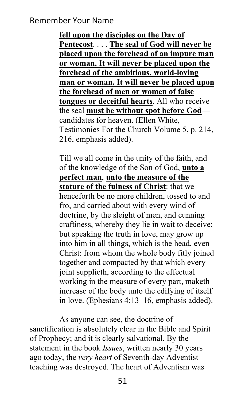**fell upon the disciples on the Day of Pentecost**. . . . **The seal of God will never be placed upon the forehead of an impure man or woman. It will never be placed upon the forehead of the ambitious, world-loving man or woman. It will never be placed upon the forehead of men or women of false tongues or deceitful hearts**. All who receive the seal **must be without spot before God** candidates for heaven. (Ellen White, Testimonies For the Church Volume 5, p. 214, 216, emphasis added).

Till we all come in the unity of the faith, and of the knowledge of the Son of God, **unto a perfect man**, **unto the measure of the stature of the fulness of Christ**: that we henceforth be no more children, tossed to and fro, and carried about with every wind of doctrine, by the sleight of men, and cunning craftiness, whereby they lie in wait to deceive; but speaking the truth in love, may grow up into him in all things, which is the head, even Christ: from whom the whole body fitly joined together and compacted by that which every joint supplieth, according to the effectual working in the measure of every part, maketh increase of the body unto the edifying of itself in love. (Ephesians 4:13–16, emphasis added).

As anyone can see, the doctrine of sanctification is absolutely clear in the Bible and Spirit of Prophecy; and it is clearly salvational. By the statement in the book *Issues*, written nearly 30 years ago today, the *very heart* of Seventh-day Adventist teaching was destroyed. The heart of Adventism was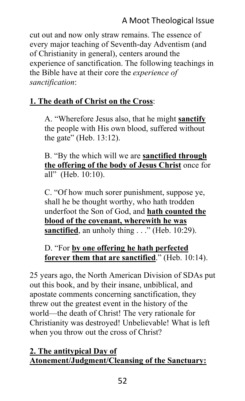## A Moot Theological Issue

cut out and now only straw remains. The essence of every major teaching of Seventh-day Adventism (and of Christianity in general), centers around the experience of sanctification. The following teachings in the Bible have at their core the *experience of sanctification*:

## **1. The death of Christ on the Cross**:

A. "Wherefore Jesus also, that he might **sanctify** the people with His own blood, suffered without the gate" (Heb. 13:12).

B. "By the which will we are **sanctified through the offering of the body of Jesus Christ** once for all" (Heb. 10:10).

C. "Of how much sorer punishment, suppose ye, shall he be thought worthy, who hath trodden underfoot the Son of God, and **hath counted the blood of the covenant, wherewith he was sanctified**, an unholy thing . . ." (Heb. 10:29).

D. "For **by one offering he hath perfected forever them that are sanctified**." (Heb. 10:14).

25 years ago, the North American Division of SDAs put out this book, and by their insane, unbiblical, and apostate comments concerning sanctification, they threw out the greatest event in the history of the world—the death of Christ! The very rationale for Christianity was destroyed! Unbelievable! What is left when you throw out the cross of Christ?

## **2. The antitypical Day of Atonement/Judgment/Cleansing of the Sanctuary:**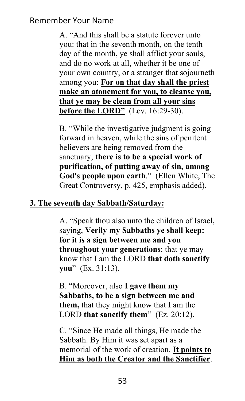A. "And this shall be a statute forever unto you: that in the seventh month, on the tenth day of the month, ye shall afflict your souls, and do no work at all, whether it be one of your own country, or a stranger that sojourneth among you: **For on that day shall the priest make an atonement for you, to cleanse you, that ye may be clean from all your sins before the LORD"** (Lev. 16:29-30).

B. "While the investigative judgment is going forward in heaven, while the sins of penitent believers are being removed from the sanctuary, **there is to be a special work of purification, of putting away of sin, among God's people upon earth**." (Ellen White, The Great Controversy, p. 425, emphasis added).

#### **3. The seventh day Sabbath/Saturday:**

A. "Speak thou also unto the children of Israel, saying, **Verily my Sabbaths ye shall keep: for it is a sign between me and you throughout your generations**; that ye may know that I am the LORD **that doth sanctify you**" (Ex. 31:13).

B. "Moreover, also **I gave them my Sabbaths, to be a sign between me and them,** that they might know that I am the LORD **that sanctify them**" (Ez. 20:12).

C. "Since He made all things, He made the Sabbath. By Him it was set apart as a memorial of the work of creation. **It points to Him as both the Creator and the Sanctifier**.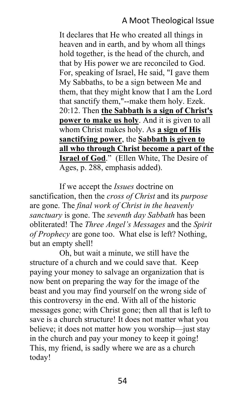## A Moot Theological Issue

It declares that He who created all things in heaven and in earth, and by whom all things hold together, is the head of the church, and that by His power we are reconciled to God. For, speaking of Israel, He said, "I gave them My Sabbaths, to be a sign between Me and them, that they might know that I am the Lord that sanctify them,"--make them holy. Ezek. 20:12. Then **the Sabbath is a sign of Christ's power to make us holy**. And it is given to all whom Christ makes holy. As **a sign of His sanctifying power**, the **Sabbath is given to all who through Christ become a part of the Israel of God**." (Ellen White, The Desire of Ages, p. 288, emphasis added).

If we accept the *Issues* doctrine on sanctification, then the *cross of Christ* and its *purpose* are gone. The *final work of Christ in the heavenly sanctuary* is gone. The *seventh day Sabbath* has been obliterated! The *Three Angel's Messages* and the *Spirit of Prophecy* are gone too. What else is left? Nothing, but an empty shell!

Oh, but wait a minute, we still have the structure of a church and we could save that. Keep paying your money to salvage an organization that is now bent on preparing the way for the image of the beast and you may find yourself on the wrong side of this controversy in the end. With all of the historic messages gone; with Christ gone; then all that is left to save is a church structure! It does not matter what you believe; it does not matter how you worship—just stay in the church and pay your money to keep it going! This, my friend, is sadly where we are as a church today!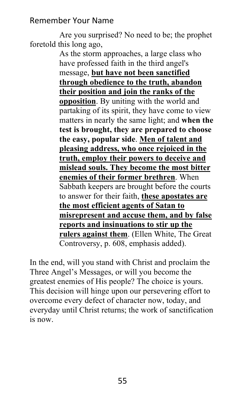Are you surprised? No need to be; the prophet foretold this long ago,

As the storm approaches, a large class who have professed faith in the third angel's message, **but have not been sanctified through obedience to the truth, abandon their position and join the ranks of the opposition**. By uniting with the world and partaking of its spirit, they have come to view matters in nearly the same light; and **when the test is brought, they are prepared to choose the easy, popular side**. **Men of talent and pleasing address, who once rejoiced in the truth, employ their powers to deceive and mislead souls. They become the most bitter enemies of their former brethren**. When Sabbath keepers are brought before the courts to answer for their faith, **these apostates are the most efficient agents of Satan to misrepresent and accuse them, and by false reports and insinuations to stir up the rulers against them**. (Ellen White, The Great Controversy, p. 608, emphasis added).

In the end, will you stand with Christ and proclaim the Three Angel's Messages, or will you become the greatest enemies of His people? The choice is yours. This decision will hinge upon our persevering effort to overcome every defect of character now, today, and everyday until Christ returns; the work of sanctification is now.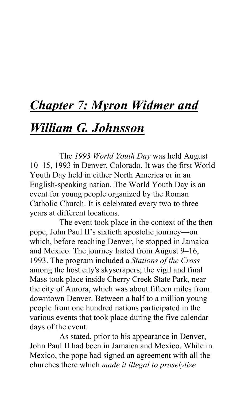## *Chapter 7: Myron Widmer and*

## *William G. Johnsson*

The *1993 World Youth Day* was held August 10–15, 1993 in Denver, Colorado. It was the first World Youth Day held in either North America or in an English-speaking nation. The World Youth Day is an event for young people organized by the Roman Catholic Church. It is celebrated every two to three years at different locations.

The event took place in the context of the then pope, John Paul II's sixtieth apostolic journey—on which, before reaching Denver, he stopped in Jamaica and Mexico. The journey lasted from August 9–16, 1993. The program included a *Stations of the Cross* among the host city's skyscrapers; the vigil and final Mass took place inside Cherry Creek State Park, near the city of Aurora, which was about fifteen miles from downtown Denver. Between a half to a million young people from one hundred nations participated in the various events that took place during the five calendar days of the event.

As stated, prior to his appearance in Denver, John Paul II had been in Jamaica and Mexico. While in Mexico, the pope had signed an agreement with all the churches there which *made it illegal to proselytize*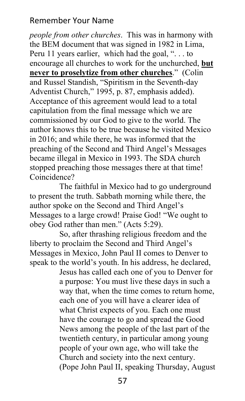*people from other churches*. This was in harmony with the BEM document that was signed in 1982 in Lima, Peru 11 years earlier, which had the goal, ". . . to encourage all churches to work for the unchurched, **but never to proselytize from other churches**." (Colin and Russel Standish, "Spiritism in the Seventh-day Adventist Church," 1995, p. 87, emphasis added). Acceptance of this agreement would lead to a total capitulation from the final message which we are commissioned by our God to give to the world. The author knows this to be true because he visited Mexico in 2016; and while there, he was informed that the preaching of the Second and Third Angel's Messages became illegal in Mexico in 1993. The SDA church stopped preaching those messages there at that time! Coincidence?

The faithful in Mexico had to go underground to present the truth. Sabbath morning while there, the author spoke on the Second and Third Angel's Messages to a large crowd! Praise God! "We ought to obey God rather than men." (Acts 5:29).

So, after thrashing religious freedom and the liberty to proclaim the Second and Third Angel's Messages in Mexico, John Paul II comes to Denver to speak to the world's youth. In his address, he declared,

> Jesus has called each one of you to Denver for a purpose: You must live these days in such a way that, when the time comes to return home, each one of you will have a clearer idea of what Christ expects of you. Each one must have the courage to go and spread the Good News among the people of the last part of the twentieth century, in particular among young people of your own age, who will take the Church and society into the next century. (Pope John Paul II, speaking Thursday, August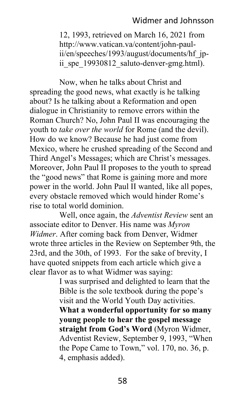## Widmer and Johnsson

12, 1993, retrieved on March 16, 2021 from http://www.vatican.va/content/john-paulii/en/speeches/1993/august/documents/hf\_jpii spe 19930812 saluto-denver-gmg.html).

Now, when he talks about Christ and spreading the good news, what exactly is he talking about? Is he talking about a Reformation and open dialogue in Christianity to remove errors within the Roman Church? No, John Paul II was encouraging the youth to *take over the world* for Rome (and the devil). How do we know? Because he had just come from Mexico, where he crushed spreading of the Second and Third Angel's Messages; which are Christ's messages. Moreover, John Paul II proposes to the youth to spread the "good news" that Rome is gaining more and more power in the world. John Paul II wanted, like all popes, every obstacle removed which would hinder Rome's rise to total world dominion.

Well, once again, the *Adventist Review* sent an associate editor to Denver. His name was *Myron Widmer*. After coming back from Denver, Widmer wrote three articles in the Review on September 9th, the 23rd, and the 30th, of 1993. For the sake of brevity, I have quoted snippets from each article which give a clear flavor as to what Widmer was saying:

> I was surprised and delighted to learn that the Bible is the sole textbook during the pope's visit and the World Youth Day activities. **What a wonderful opportunity for so many young people to hear the gospel message straight from God's Word** (Myron Widmer, Adventist Review, September 9, 1993, "When the Pope Came to Town," vol. 170, no. 36, p. 4, emphasis added).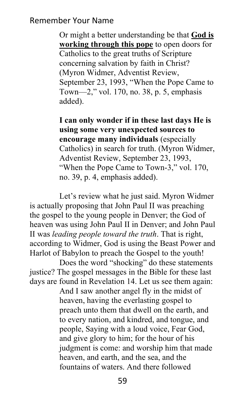Or might a better understanding be that **God is working through this pope** to open doors for Catholics to the great truths of Scripture concerning salvation by faith in Christ? (Myron Widmer, Adventist Review, September 23, 1993, "When the Pope Came to Town—2," vol. 170, no. 38, p. 5, emphasis added).

**I can only wonder if in these last days He is using some very unexpected sources to encourage many individuals** (especially Catholics) in search for truth. (Myron Widmer, Adventist Review, September 23, 1993, "When the Pope Came to Town-3," vol. 170, no. 39, p. 4, emphasis added).

Let's review what he just said. Myron Widmer is actually proposing that John Paul II was preaching the gospel to the young people in Denver; the God of heaven was using John Paul II in Denver; and John Paul II was *leading people toward the truth*. That is right, according to Widmer, God is using the Beast Power and Harlot of Babylon to preach the Gospel to the youth!

Does the word "shocking" do these statements justice? The gospel messages in the Bible for these last days are found in Revelation 14. Let us see them again:

And I saw another angel fly in the midst of heaven, having the everlasting gospel to preach unto them that dwell on the earth, and to every nation, and kindred, and tongue, and people, Saying with a loud voice, Fear God, and give glory to him; for the hour of his judgment is come: and worship him that made heaven, and earth, and the sea, and the fountains of waters. And there followed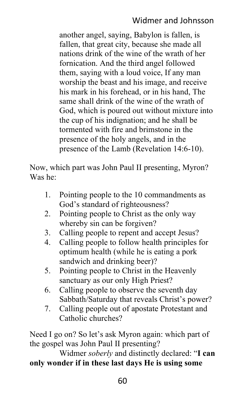## Widmer and Johnsson

another angel, saying, Babylon is fallen, is fallen, that great city, because she made all nations drink of the wine of the wrath of her fornication. And the third angel followed them, saying with a loud voice, If any man worship the beast and his image, and receive his mark in his forehead, or in his hand, The same shall drink of the wine of the wrath of God, which is poured out without mixture into the cup of his indignation; and he shall be tormented with fire and brimstone in the presence of the holy angels, and in the presence of the Lamb (Revelation 14:6-10).

Now, which part was John Paul II presenting, Myron? Was he:

- 1. Pointing people to the 10 commandments as God's standard of righteousness?
- 2. Pointing people to Christ as the only way whereby sin can be forgiven?
- 3. Calling people to repent and accept Jesus?
- 4. Calling people to follow health principles for optimum health (while he is eating a pork sandwich and drinking beer)?
- 5. Pointing people to Christ in the Heavenly sanctuary as our only High Priest?
- 6. Calling people to observe the seventh day Sabbath/Saturday that reveals Christ's power?
- 7. Calling people out of apostate Protestant and Catholic churches?

Need I go on? So let's ask Myron again: which part of the gospel was John Paul II presenting?

Widmer *soberly* and distinctly declared: "**I can only wonder if in these last days He is using some**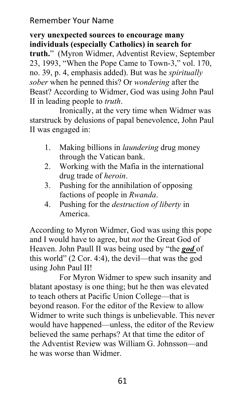**very unexpected sources to encourage many individuals (especially Catholics) in search for truth.**" (Myron Widmer, Adventist Review, September 23, 1993, "When the Pope Came to Town-3," vol. 170, no. 39, p. 4, emphasis added). But was he *spiritually sober* when he penned this? Or *wondering* after the Beast? According to Widmer, God was using John Paul II in leading people to *truth*.

Ironically, at the very time when Widmer was starstruck by delusions of papal benevolence, John Paul II was engaged in:

- 1. Making billions in *laundering* drug money through the Vatican bank.
- 2. Working with the Mafia in the international drug trade of *heroin*.
- 3. Pushing for the annihilation of opposing factions of people in *Rwanda*.
- 4. Pushing for the *destruction of liberty* in America.

According to Myron Widmer, God was using this pope and I would have to agree, but *not* the Great God of Heaven. John Paull II was being used by "the *god* of this world" (2 Cor. 4:4), the devil—that was the god using John Paul II!

For Myron Widmer to spew such insanity and blatant apostasy is one thing; but he then was elevated to teach others at Pacific Union College—that is beyond reason. For the editor of the Review to allow Widmer to write such things is unbelievable. This never would have happened—unless, the editor of the Review believed the same perhaps? At that time the editor of the Adventist Review was William G. Johnsson—and he was worse than Widmer.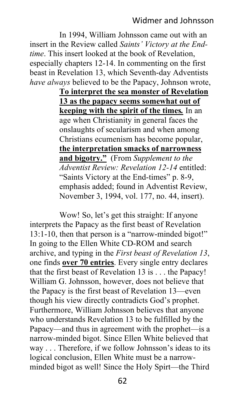In 1994, William Johnsson came out with an insert in the Review called *Saints' Victory at the Endtime*. This insert looked at the book of Revelation, especially chapters 12-14. In commenting on the first beast in Revelation 13, which Seventh-day Adventists *have always* believed to be the Papacy, Johnson wrote,

> **To interpret the sea monster of Revelation 13 as the papacy seems somewhat out of keeping with the spirit of the times***.* In an age when Christianity in general faces the onslaughts of secularism and when among Christians ecumenism has become popular, **the interpretation smacks of narrowness and bigotry."** (From *Supplement to the Adventist Review: Revelation 12-14* entitled: "Saints Victory at the End-times" p. 8-9, emphasis added; found in Adventist Review, November 3, 1994, vol. 177, no. 44, insert).

Wow! So, let's get this straight: If anyone interprets the Papacy as the first beast of Revelation 13:1-10, then that person is a "narrow-minded bigot!" In going to the Ellen White CD-ROM and search archive, and typing in the *First beast of Revelation 13*, one finds **over 70 entries**. Every single entry declares that the first beast of Revelation 13 is . . . the Papacy! William G. Johnsson, however, does not believe that the Papacy is the first beast of Revelation 13—even though his view directly contradicts God's prophet. Furthermore, William Johnsson believes that anyone who understands Revelation 13 to be fulfilled by the Papacy—and thus in agreement with the prophet—is a narrow-minded bigot. Since Ellen White believed that way . . . Therefore, if we follow Johnsson's ideas to its logical conclusion, Ellen White must be a narrowminded bigot as well! Since the Holy Spirt—the Third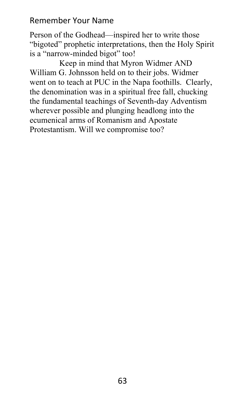Person of the Godhead—inspired her to write those "bigoted" prophetic interpretations, then the Holy Spirit is a "narrow-minded bigot" too!

Keep in mind that Myron Widmer AND William G. Johnsson held on to their jobs. Widmer went on to teach at PUC in the Napa foothills. Clearly, the denomination was in a spiritual free fall, chucking the fundamental teachings of Seventh-day Adventism wherever possible and plunging headlong into the ecumenical arms of Romanism and Apostate Protestantism. Will we compromise too?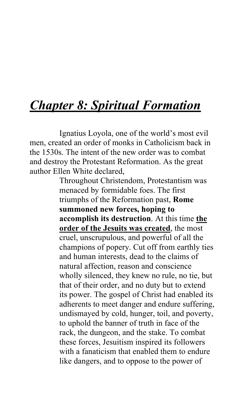## *Chapter 8: Spiritual Formation*

Ignatius Loyola, one of the world's most evil men, created an order of monks in Catholicism back in the 1530s. The intent of the new order was to combat and destroy the Protestant Reformation. As the great author Ellen White declared,

> Throughout Christendom, Protestantism was menaced by formidable foes. The first triumphs of the Reformation past, **Rome summoned new forces, hoping to accomplish its destruction**. At this time **the order of the Jesuits was created**, the most cruel, unscrupulous, and powerful of all the champions of popery. Cut off from earthly ties and human interests, dead to the claims of natural affection, reason and conscience wholly silenced, they knew no rule, no tie, but that of their order, and no duty but to extend its power. The gospel of Christ had enabled its adherents to meet danger and endure suffering, undismayed by cold, hunger, toil, and poverty, to uphold the banner of truth in face of the rack, the dungeon, and the stake. To combat these forces, Jesuitism inspired its followers with a fanaticism that enabled them to endure like dangers, and to oppose to the power of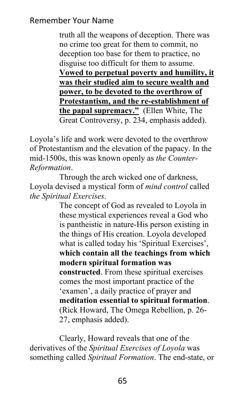truth all the weapons of deception. There was no crime too great for them to commit, no deception too base for them to practice, no disguise too difficult for them to assume. **Vowed to perpetual poverty and humility, it was their studied aim to secure wealth and power, to be devoted to the overthrow of Protestantism, and the re-establishment of the papal supremacy."** (Ellen White, The Great Controversy, p. 234, emphasis added).

Loyola's life and work were devoted to the overthrow of Protestantism and the elevation of the papacy. In the mid-1500s, this was known openly as *the Counter-Reformation*.

Through the arch wicked one of darkness, Loyola devised a mystical form of *mind control* called *the Spiritual Exercises*.

> The concept of God as revealed to Loyola in these mystical experiences reveal a God who is pantheistic in nature-His person existing in the things of His creation. Loyola developed what is called today his 'Spiritual Exercises', **which contain all the teachings from which modern spiritual formation was constructed**. From these spiritual exercises comes the most important practice of the 'examen', a daily practice of prayer and **meditation essential to spiritual formation**. (Rick Howard, The Omega Rebellion, p. 26- 27, emphasis added).

Clearly, Howard reveals that one of the derivatives of the *Spiritual Exercises of Loyola* was something called *Spiritual Formation*. The end-state, or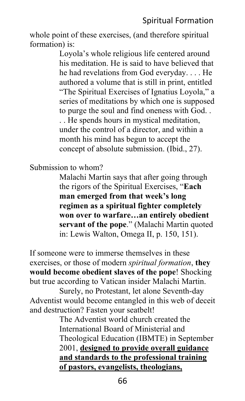## Spiritual Formation

whole point of these exercises, (and therefore spiritual formation) is:

> Loyola's whole religious life centered around his meditation. He is said to have believed that he had revelations from God everyday. . . . He authored a volume that is still in print, entitled "The Spiritual Exercises of Ignatius Loyola," a series of meditations by which one is supposed to purge the soul and find oneness with God. . . . He spends hours in mystical meditation, under the control of a director, and within a month his mind has begun to accept the concept of absolute submission. (Ibid., 27).

Submission to whom?

Malachi Martin says that after going through the rigors of the Spiritual Exercises, "**Each man emerged from that week's long regimen as a spiritual fighter completely won over to warfare…an entirely obedient servant of the pope**." (Malachi Martin quoted in: Lewis Walton, Omega II, p. 150, 151).

If someone were to immerse themselves in these exercises, or those of modern *spiritual formation*, **they would become obedient slaves of the pope**! Shocking but true according to Vatican insider Malachi Martin.

Surely, no Protestant, let alone Seventh-day Adventist would become entangled in this web of deceit and destruction? Fasten your seatbelt!

The Adventist world church created the International Board of Ministerial and Theological Education (IBMTE) in September 2001, **designed to provide overall guidance and standards to the professional training of pastors, evangelists, theologians,** 

66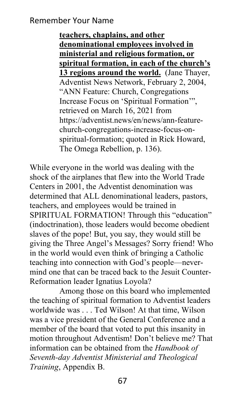**teachers, chaplains, and other denominational employees involved in ministerial and religious formation, or spiritual formation, in each of the church's 13 regions around the world.** (Jane Thayer, Adventist News Network, February 2, 2004, "ANN Feature: Church, Congregations Increase Focus on 'Spiritual Formation'", retrieved on March 16, 2021 from https://adventist.news/en/news/ann-featurechurch-congregations-increase-focus-onspiritual-formation; quoted in Rick Howard, The Omega Rebellion, p. 136).

While everyone in the world was dealing with the shock of the airplanes that flew into the World Trade Centers in 2001, the Adventist denomination was determined that ALL denominational leaders, pastors, teachers, and employees would be trained in SPIRITUAL FORMATION! Through this "education" (indoctrination), those leaders would become obedient slaves of the pope! But, you say, they would still be giving the Three Angel's Messages? Sorry friend! Who in the world would even think of bringing a Catholic teaching into connection with God's people—nevermind one that can be traced back to the Jesuit Counter-Reformation leader Ignatius Loyola?

Among those on this board who implemented the teaching of spiritual formation to Adventist leaders worldwide was . . . Ted Wilson! At that time, Wilson was a vice president of the General Conference and a member of the board that voted to put this insanity in motion throughout Adventism! Don't believe me? That information can be obtained from the *Handbook of Seventh-day Adventist Ministerial and Theological Training*, Appendix B.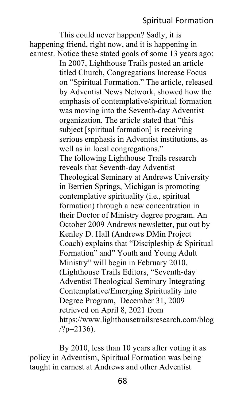## Spiritual Formation

This could never happen? Sadly, it is happening friend, right now, and it is happening in earnest. Notice these stated goals of some 13 years ago: In 2007, Lighthouse Trails posted an article titled Church, Congregations Increase Focus on "Spiritual Formation." The article, released by Adventist News Network, showed how the emphasis of contemplative/spiritual formation was moving into the Seventh-day Adventist organization. The article stated that "this subject [spiritual formation] is receiving serious emphasis in Adventist institutions, as well as in local congregations." The following Lighthouse Trails research reveals that Seventh-day Adventist Theological Seminary at Andrews University in Berrien Springs, Michigan is promoting contemplative spirituality (i.e., spiritual formation) through a new concentration in their Doctor of Ministry degree program. An October 2009 Andrews newsletter, put out by Kenley D. Hall (Andrews DMin Project Coach) explains that "Discipleship & Spiritual Formation" and" Youth and Young Adult Ministry" will begin in February 2010. (Lighthouse Trails Editors, "Seventh-day Adventist Theological Seminary Integrating Contemplative/Emerging Spirituality into Degree Program, December 31, 2009 retrieved on April 8, 2021 from https://www.lighthousetrailsresearch.com/blog  $/?p=2136$ ).

By 2010, less than 10 years after voting it as policy in Adventism, Spiritual Formation was being taught in earnest at Andrews and other Adventist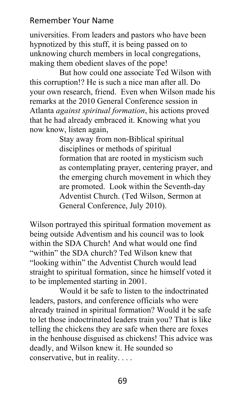universities. From leaders and pastors who have been hypnotized by this stuff, it is being passed on to unknowing church members in local congregations, making them obedient slaves of the pope!

But how could one associate Ted Wilson with this corruption!? He is such a nice man after all. Do your own research, friend. Even when Wilson made his remarks at the 2010 General Conference session in Atlanta *against spiritual formation*, his actions proved that he had already embraced it. Knowing what you now know, listen again,

> Stay away from non-Biblical spiritual disciplines or methods of spiritual formation that are rooted in mysticism such as contemplating prayer, centering prayer, and the emerging church movement in which they are promoted. Look within the Seventh-day Adventist Church. (Ted Wilson, Sermon at General Conference, July 2010).

Wilson portrayed this spiritual formation movement as being outside Adventism and his council was to look within the SDA Church! And what would one find "within" the SDA church? Ted Wilson knew that "looking within" the Adventist Church would lead straight to spiritual formation, since he himself voted it to be implemented starting in 2001.

Would it be safe to listen to the indoctrinated leaders, pastors, and conference officials who were already trained in spiritual formation? Would it be safe to let those indoctrinated leaders train you? That is like telling the chickens they are safe when there are foxes in the henhouse disguised as chickens! This advice was deadly, and Wilson knew it. He sounded so conservative, but in reality. . . .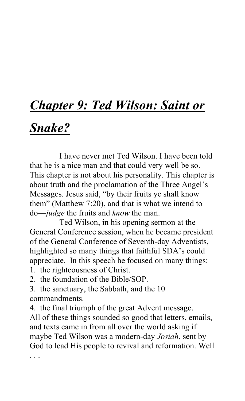# *Chapter 9: Ted Wilson: Saint or*

## *Snake?*

I have never met Ted Wilson. I have been told that he is a nice man and that could very well be so. This chapter is not about his personality. This chapter is about truth and the proclamation of the Three Angel's Messages. Jesus said, "by their fruits ye shall know them" (Matthew 7:20), and that is what we intend to do—*judge* the fruits and *know* the man.

Ted Wilson, in his opening sermon at the General Conference session, when he became president of the General Conference of Seventh-day Adventists, highlighted so many things that faithful SDA's could appreciate. In this speech he focused on many things:

1. the righteousness of Christ.

2. the foundation of the Bible/SOP.

3. the sanctuary, the Sabbath, and the 10 commandments.

4. the final triumph of the great Advent message. All of these things sounded so good that letters, emails, and texts came in from all over the world asking if maybe Ted Wilson was a modern-day *Josiah*, sent by God to lead His people to revival and reformation. Well

. . .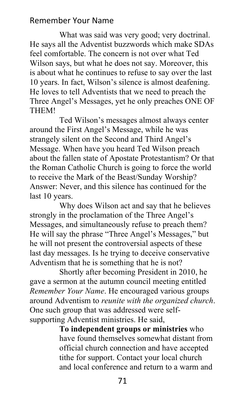What was said was very good; very doctrinal. He says all the Adventist buzzwords which make SDAs feel comfortable. The concern is not over what Ted Wilson says, but what he does not say. Moreover, this is about what he continues to refuse to say over the last 10 years. In fact, Wilson's silence is almost deafening. He loves to tell Adventists that we need to preach the Three Angel's Messages, yet he only preaches ONE OF THEM!

Ted Wilson's messages almost always center around the First Angel's Message, while he was strangely silent on the Second and Third Angel's Message. When have you heard Ted Wilson preach about the fallen state of Apostate Protestantism? Or that the Roman Catholic Church is going to force the world to receive the Mark of the Beast/Sunday Worship? Answer: Never, and this silence has continued for the last 10 years.

Why does Wilson act and say that he believes strongly in the proclamation of the Three Angel's Messages, and simultaneously refuse to preach them? He will say the phrase "Three Angel's Messages," but he will not present the controversial aspects of these last day messages. Is he trying to deceive conservative Adventism that he is something that he is not?

Shortly after becoming President in 2010, he gave a sermon at the autumn council meeting entitled *Remember Your Name*. He encouraged various groups around Adventism to *reunite with the organized church*. One such group that was addressed were selfsupporting Adventist ministries. He said,

> **To independent groups or ministries** who have found themselves somewhat distant from official church connection and have accepted tithe for support. Contact your local church and local conference and return to a warm and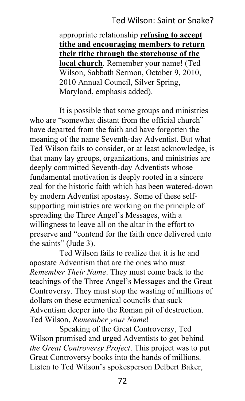## Ted Wilson: Saint or Snake?

appropriate relationship **refusing to accept tithe and encouraging members to return their tithe through the storehouse of the local church**. Remember your name! (Ted Wilson, Sabbath Sermon, October 9, 2010, 2010 Annual Council, Silver Spring, Maryland, emphasis added).

It is possible that some groups and ministries who are "somewhat distant from the official church" have departed from the faith and have forgotten the meaning of the name Seventh-day Adventist. But what Ted Wilson fails to consider, or at least acknowledge, is that many lay groups, organizations, and ministries are deeply committed Seventh-day Adventists whose fundamental motivation is deeply rooted in a sincere zeal for the historic faith which has been watered-down by modern Adventist apostasy. Some of these selfsupporting ministries are working on the principle of spreading the Three Angel's Messages, with a willingness to leave all on the altar in the effort to preserve and "contend for the faith once delivered unto the saints" (Jude 3).

Ted Wilson fails to realize that it is he and apostate Adventism that are the ones who must *Remember Their Name*. They must come back to the teachings of the Three Angel's Messages and the Great Controversy. They must stop the wasting of millions of dollars on these ecumenical councils that suck Adventism deeper into the Roman pit of destruction. Ted Wilson, *Remember your Name*!

Speaking of the Great Controversy, Ted Wilson promised and urged Adventists to get behind *the Great Controversy Project*. This project was to put Great Controversy books into the hands of millions. Listen to Ted Wilson's spokesperson Delbert Baker,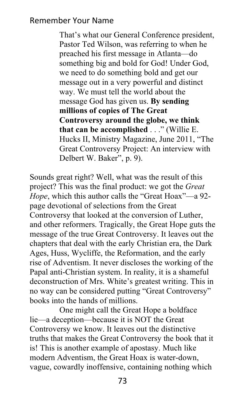That's what our General Conference president, Pastor Ted Wilson, was referring to when he preached his first message in Atlanta—do something big and bold for God! Under God, we need to do something bold and get our message out in a very powerful and distinct way. We must tell the world about the message God has given us. **By sending millions of copies of The Great Controversy around the globe, we think that can be accomplished** . . ." (Willie E. Hucks II, Ministry Magazine, June 2011, "The Great Controversy Project: An interview with Delbert W. Baker", p. 9).

Sounds great right? Well, what was the result of this project? This was the final product: we got the *Great Hope*, which this author calls the "Great Hoax"—a 92 page devotional of selections from the Great Controversy that looked at the conversion of Luther, and other reformers. Tragically, the Great Hope guts the message of the true Great Controversy. It leaves out the chapters that deal with the early Christian era, the Dark Ages, Huss, Wycliffe, the Reformation, and the early rise of Adventism. It never discloses the working of the Papal anti-Christian system. In reality, it is a shameful deconstruction of Mrs. White's greatest writing. This in no way can be considered putting "Great Controversy" books into the hands of millions.

One might call the Great Hope a boldface lie—a deception—because it is NOT the Great Controversy we know. It leaves out the distinctive truths that makes the Great Controversy the book that it is! This is another example of apostasy. Much like modern Adventism, the Great Hoax is water-down, vague, cowardly inoffensive, containing nothing which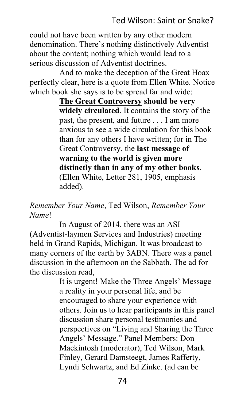could not have been written by any other modern denomination. There's nothing distinctively Adventist about the content; nothing which would lead to a serious discussion of Adventist doctrines.

And to make the deception of the Great Hoax perfectly clear, here is a quote from Ellen White. Notice which book she says is to be spread far and wide:

> **The Great Controversy should be very widely circulated**. It contains the story of the past, the present, and future . . . I am more anxious to see a wide circulation for this book than for any others I have written; for in The Great Controversy, the **last message of warning to the world is given more distinctly than in any of my other books**. (Ellen White, Letter 281, 1905, emphasis added).

## *Remember Your Name*, Ted Wilson, *Remember Your Name*!

In August of 2014, there was an ASI (Adventist-laymen Services and Industries) meeting held in Grand Rapids, Michigan. It was broadcast to many corners of the earth by 3ABN. There was a panel discussion in the afternoon on the Sabbath. The ad for the discussion read,

> It is urgent! Make the Three Angels' Message a reality in your personal life, and be encouraged to share your experience with others. Join us to hear participants in this panel discussion share personal testimonies and perspectives on "Living and Sharing the Three Angels' Message." Panel Members: Don Mackintosh (moderator), Ted Wilson, Mark Finley, Gerard Damsteegt, James Rafferty, Lyndi Schwartz, and Ed Zinke. (ad can be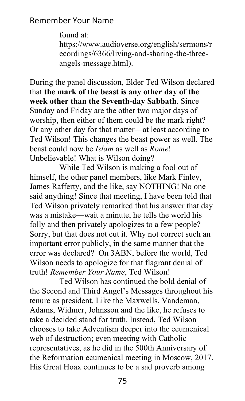found at: https://www.audioverse.org/english/sermons/r ecordings/6366/living-and-sharing-the-threeangels-message.html).

During the panel discussion, Elder Ted Wilson declared that **the mark of the beast is any other day of the week other than the Seventh-day Sabbath**. Since Sunday and Friday are the other two major days of worship, then either of them could be the mark right? Or any other day for that matter—at least according to Ted Wilson! This changes the beast power as well. The beast could now be *Islam* as well as *Rome*! Unbelievable! What is Wilson doing?

While Ted Wilson is making a fool out of himself, the other panel members, like Mark Finley, James Rafferty, and the like, say NOTHING! No one said anything! Since that meeting, I have been told that Ted Wilson privately remarked that his answer that day was a mistake—wait a minute, he tells the world his folly and then privately apologizes to a few people? Sorry, but that does not cut it. Why not correct such an important error publicly, in the same manner that the error was declared? On 3ABN, before the world, Ted Wilson needs to apologize for that flagrant denial of truth! *Remember Your Name*, Ted Wilson!

Ted Wilson has continued the bold denial of the Second and Third Angel's Messages throughout his tenure as president. Like the Maxwells, Vandeman, Adams, Widmer, Johnsson and the like, he refuses to take a decided stand for truth. Instead, Ted Wilson chooses to take Adventism deeper into the ecumenical web of destruction; even meeting with Catholic representatives, as he did in the 500th Anniversary of the Reformation ecumenical meeting in Moscow, 2017. His Great Hoax continues to be a sad proverb among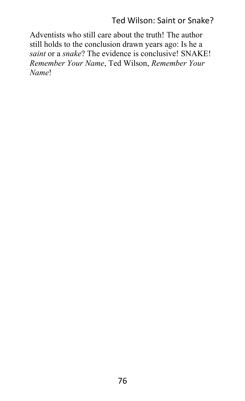## Ted Wilson: Saint or Snake?

Adventists who still care about the truth! The author still holds to the conclusion drawn years ago: Is he a *saint* or a *snake*? The evidence is conclusive! SNAKE! *Remember Your Name*, Ted Wilson, *Remember Your Name*!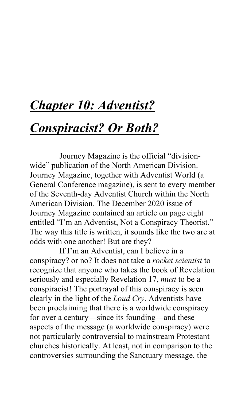## *Chapter 10: Adventist?*

## *Conspiracist? Or Both?*

Journey Magazine is the official "divisionwide" publication of the North American Division. Journey Magazine, together with Adventist World (a General Conference magazine), is sent to every member of the Seventh-day Adventist Church within the North American Division. The December 2020 issue of Journey Magazine contained an article on page eight entitled "I'm an Adventist, Not a Conspiracy Theorist." The way this title is written, it sounds like the two are at odds with one another! But are they?

If I'm an Adventist, can I believe in a conspiracy? or no? It does not take a *rocket scientist* to recognize that anyone who takes the book of Revelation seriously and especially Revelation 17, *must* to be a conspiracist! The portrayal of this conspiracy is seen clearly in the light of the *Loud Cry*. Adventists have been proclaiming that there is a worldwide conspiracy for over a century—since its founding—and these aspects of the message (a worldwide conspiracy) were not particularly controversial to mainstream Protestant churches historically. At least, not in comparison to the controversies surrounding the Sanctuary message, the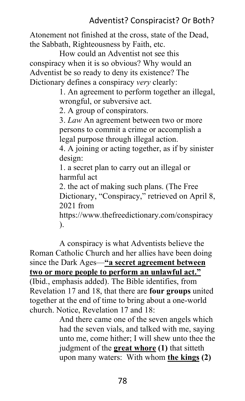Atonement not finished at the cross, state of the Dead, the Sabbath, Righteousness by Faith, etc.

How could an Adventist not see this conspiracy when it is so obvious? Why would an Adventist be so ready to deny its existence? The Dictionary defines a conspiracy *very* clearly:

> 1. An agreement to perform together an illegal, wrongful, or subversive act.

2. A group of conspirators.

3. *Law* An agreement between two or more persons to commit a crime or accomplish a legal purpose through illegal action.

4. A joining or acting together, as if by sinister design:

1. a secret plan to carry out an illegal or harmful act

2. the act of making such plans. (The Free Dictionary, "Conspiracy," retrieved on April 8, 2021 from

https://www.thefreedictionary.com/conspiracy ).

A conspiracy is what Adventists believe the Roman Catholic Church and her allies have been doing since the Dark Ages—**"a secret agreement between two or more people to perform an unlawful act."** (Ibid., emphasis added). The Bible identifies, from Revelation 17 and 18, that there are **four groups** united together at the end of time to bring about a one-world church. Notice, Revelation 17 and 18:

And there came one of the seven angels which had the seven vials, and talked with me, saying unto me, come hither; I will shew unto thee the judgment of the **great whore (1)** that sitteth upon many waters: With whom **the kings (2)**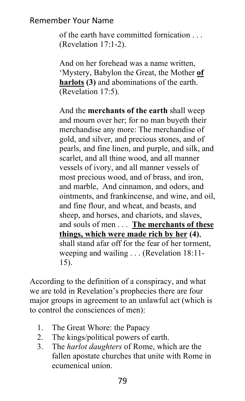of the earth have committed fornication (Revelation 17:1-2).

And on her forehead was a name written, 'Mystery, Babylon the Great, the Mother **of harlots (3)** and abominations of the earth. (Revelation 17:5).

And the **merchants of the earth** shall weep and mourn over her; for no man buyeth their merchandise any more: The merchandise of gold, and silver, and precious stones, and of pearls, and fine linen, and purple, and silk, and scarlet, and all thine wood, and all manner vessels of ivory, and all manner vessels of most precious wood, and of brass, and iron, and marble, And cinnamon, and odors, and ointments, and frankincense, and wine, and oil, and fine flour, and wheat, and beasts, and sheep, and horses, and chariots, and slaves, and souls of men . . . **The merchants of these things, which were made rich by her (4)**, shall stand afar off for the fear of her torment, weeping and wailing . . . (Revelation 18:11- 15).

According to the definition of a conspiracy, and what we are told in Revelation's prophecies there are four major groups in agreement to an unlawful act (which is to control the consciences of men):

- 1. The Great Whore: the Papacy
- 2. The kings/political powers of earth.
- 3. The *harlot daughters* of Rome, which are the fallen apostate churches that unite with Rome in ecumenical union.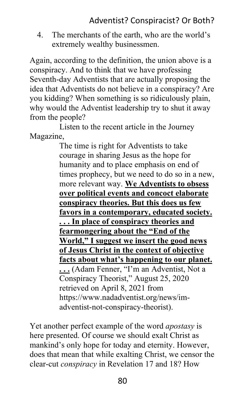4. The merchants of the earth, who are the world's extremely wealthy businessmen.

Again, according to the definition, the union above is a conspiracy. And to think that we have professing Seventh-day Adventists that are actually proposing the idea that Adventists do not believe in a conspiracy? Are you kidding? When something is so ridiculously plain, why would the Adventist leadership try to shut it away from the people?

Listen to the recent article in the Journey Magazine,

The time is right for Adventists to take courage in sharing Jesus as the hope for humanity and to place emphasis on end of times prophecy, but we need to do so in a new, more relevant way. **We Adventists to obsess over political events and concoct elaborate conspiracy theories. But this does us few favors in a contemporary, educated society. . . . In place of conspiracy theories and fearmongering about the "End of the World," I suggest we insert the good news of Jesus Christ in the context of objective facts about what's happening to our planet. . . .** (Adam Fenner, "I'm an Adventist, Not a Conspiracy Theorist," August 25, 2020 retrieved on April 8, 2021 from https://www.nadadventist.org/news/imadventist-not-conspiracy-theorist).

Yet another perfect example of the word *apostasy* is here presented. Of course we should exalt Christ as mankind's only hope for today and eternity. However, does that mean that while exalting Christ, we censor the clear-cut *conspiracy* in Revelation 17 and 18? How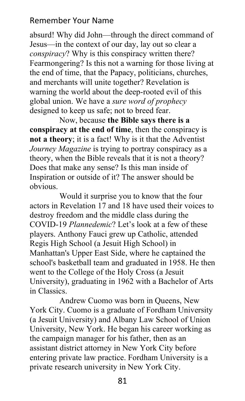absurd! Why did John—through the direct command of Jesus—in the context of our day, lay out so clear a *conspiracy*? Why is this conspiracy written there? Fearmongering? Is this not a warning for those living at the end of time, that the Papacy, politicians, churches, and merchants will unite together? Revelation is warning the world about the deep-rooted evil of this global union. We have a *sure word of prophecy* designed to keep us safe; not to breed fear.

Now, because **the Bible says there is a conspiracy at the end of time**, then the conspiracy is **not a theory**; it is a fact! Why is it that the Adventist *Journey Magazine* is trying to portray conspiracy as a theory, when the Bible reveals that it is not a theory? Does that make any sense? Is this man inside of Inspiration or outside of it? The answer should be obvious.

Would it surprise you to know that the four actors in Revelation 17 and 18 have used their voices to destroy freedom and the middle class during the COVID-19 *Plannedemic*? Let's look at a few of these players. Anthony Fauci grew up Catholic, attended Regis High School (a Jesuit High School) in Manhattan's Upper East Side, where he captained the school's basketball team and graduated in 1958. He then went to the College of the Holy Cross (a Jesuit University), graduating in 1962 with a Bachelor of Arts in Classics.

Andrew Cuomo was born in Queens, New York City. Cuomo is a graduate of Fordham University (a Jesuit University) and Albany Law School of Union University, New York. He began his career working as the campaign manager for his father, then as an assistant district attorney in New York City before entering private law practice. Fordham University is a private research university in New York City.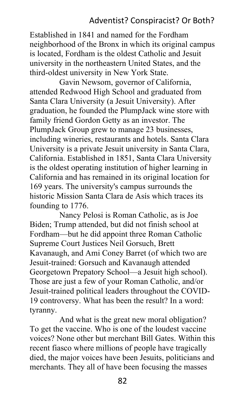### Adventist? Conspiracist? Or Both?

Established in 1841 and named for the Fordham neighborhood of the Bronx in which its original campus is located, Fordham is the oldest Catholic and Jesuit university in the northeastern United States, and the third-oldest university in New York State.

Gavin Newsom, governor of California, attended Redwood High School and graduated from Santa Clara University (a Jesuit University). After graduation, he founded the PlumpJack wine store with family friend Gordon Getty as an investor. The PlumpJack Group grew to manage 23 businesses, including wineries, restaurants and hotels. Santa Clara University is a private Jesuit university in Santa Clara, California. Established in 1851, Santa Clara University is the oldest operating institution of higher learning in California and has remained in its original location for 169 years. The university's campus surrounds the historic Mission Santa Clara de Asís which traces its founding to 1776.

Nancy Pelosi is Roman Catholic, as is Joe Biden; Trump attended, but did not finish school at Fordham—but he did appoint three Roman Catholic Supreme Court Justices Neil Gorsuch, Brett Kavanaugh, and Ami Coney Barret (of which two are Jesuit-trained: Gorsuch and Kavanaugh attended Georgetown Prepatory School—a Jesuit high school). Those are just a few of your Roman Catholic, and/or Jesuit-trained political leaders throughout the COVID-19 controversy. What has been the result? In a word: tyranny.

And what is the great new moral obligation? To get the vaccine. Who is one of the loudest vaccine voices? None other but merchant Bill Gates. Within this recent fiasco where millions of people have tragically died, the major voices have been Jesuits, politicians and merchants. They all of have been focusing the masses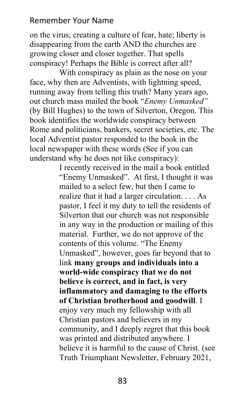on the virus; creating a culture of fear, hate; liberty is disappearing from the earth AND the churches are growing closer and closer together. That spells conspiracy! Perhaps the Bible is correct after all?

With conspiracy as plain as the nose on your face, why then are Adventists, with lightning speed, running away from telling this truth? Many years ago, out church mass mailed the book "*Enemy Unmasked"*  (by Bill Hughes) to the town of Silverton, Oregon. This book identifies the worldwide conspiracy between Rome and politicians, bankers, secret societies, etc. The local Adventist pastor responded to the book in the local newspaper with these words (See if you can understand why he does not like conspiracy):

> I recently received in the mail a book entitled "Enemy Unmasked". At first, I thought it was mailed to a select few, but then I came to realize that it had a larger circulation. . . . As pastor, I feel it my duty to tell the residents of Silverton that our church was not responsible in any way in the production or mailing of this material. Further, we do not approve of the contents of this volume. "The Enemy Unmasked", however, goes far beyond that to link **many groups and individuals into a world-wide conspiracy that we do not believe is correct, and in fact, is very inflammatory and damaging to the efforts of Christian brotherhood and goodwill**. I enjoy very much my fellowship with all Christian pastors and believers in my community, and I deeply regret that this book was printed and distributed anywhere. I believe it is harmful to the cause of Christ. (see Truth Triumphant Newsletter, February 2021,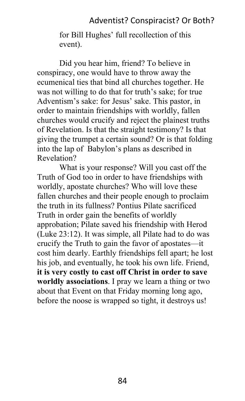#### Adventist? Conspiracist? Or Both?

for Bill Hughes' full recollection of this event).

Did you hear him, friend? To believe in conspiracy, one would have to throw away the ecumenical ties that bind all churches together. He was not willing to do that for truth's sake; for true Adventism's sake: for Jesus' sake. This pastor, in order to maintain friendships with worldly, fallen churches would crucify and reject the plainest truths of Revelation. Is that the straight testimony? Is that giving the trumpet a certain sound? Or is that folding into the lap of Babylon's plans as described in Revelation?

What is your response? Will you cast off the Truth of God too in order to have friendships with worldly, apostate churches? Who will love these fallen churches and their people enough to proclaim the truth in its fullness? Pontius Pilate sacrificed Truth in order gain the benefits of worldly approbation; Pilate saved his friendship with Herod (Luke 23:12). It was simple, all Pilate had to do was crucify the Truth to gain the favor of apostates—it cost him dearly. Earthly friendships fell apart; he lost his job, and eventually, he took his own life. Friend, **it is very costly to cast off Christ in order to save worldly associations**. I pray we learn a thing or two about that Event on that Friday morning long ago, before the noose is wrapped so tight, it destroys us!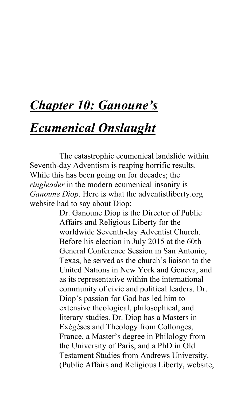## *Chapter 10: Ganoune's*

## *Ecumenical Onslaught*

The catastrophic ecumenical landslide within Seventh-day Adventism is reaping horrific results. While this has been going on for decades; the *ringleader* in the modern ecumenical insanity is *Ganoune Diop*. Here is what the adventistliberty.org website had to say about Diop:

> Dr. Ganoune Diop is the Director of Public Affairs and Religious Liberty for the worldwide Seventh-day Adventist Church. Before his election in July 2015 at the 60th General Conference Session in San Antonio, Texas, he served as the church's liaison to the United Nations in New York and Geneva, and as its representative within the international community of civic and political leaders. Dr. Diop's passion for God has led him to extensive theological, philosophical, and literary studies. Dr. Diop has a Masters in Exégèses and Theology from Collonges, France, a Master's degree in Philology from the University of Paris, and a PhD in Old Testament Studies from Andrews University. (Public Affairs and Religious Liberty, website,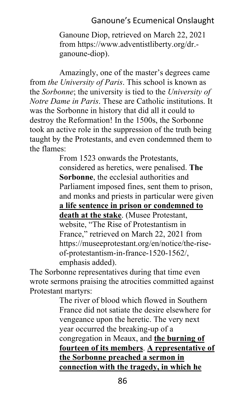## Ganoune's Ecumenical Onslaught

Ganoune Diop, retrieved on March 22, 2021 from https://www.adventistliberty.org/dr. ganoune-diop).

Amazingly, one of the master's degrees came from *the University of Paris*. This school is known as the *Sorbonne*; the university is tied to the *University of Notre Dame in Paris*. These are Catholic institutions. It was the Sorbonne in history that did all it could to destroy the Reformation! In the 1500s, the Sorbonne took an active role in the suppression of the truth being taught by the Protestants, and even condemned them to the flames:

> From 1523 onwards the Protestants, considered as heretics, were penalised. **The Sorbonne**, the ecclesial authorities and Parliament imposed fines, sent them to prison, and monks and priests in particular were given **a life sentence in prison or condemned to death at the stake**. (Musee Protestant, website, "The Rise of Protestantism in France," retrieved on March 22, 2021 from https://museeprotestant.org/en/notice/the-riseof-protestantism-in-france-1520-1562/, emphasis added).

The Sorbonne representatives during that time even wrote sermons praising the atrocities committed against Protestant martyrs:

The river of blood which flowed in Southern France did not satiate the desire elsewhere for vengeance upon the heretic. The very next year occurred the breaking-up of a congregation in Meaux, and **the burning of fourteen of its members**. **A representative of the Sorbonne preached a sermon in connection with the tragedy, in which he**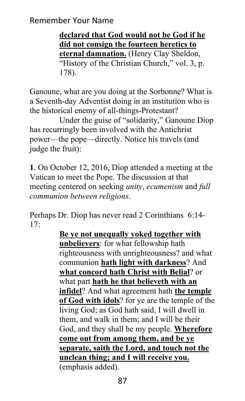**declared that God would not be God if he did not consign the fourteen heretics to eternal damnation.** (Henry Clay Sheldon, "History of the Christian Church," vol. 3, p. 178).

Ganoune, what are you doing at the Sorbonne? What is a Seventh-day Adventist doing in an institution who is the historical enemy of all-things-Protestant?

Under the guise of "solidarity," Ganoune Diop has recurringly been involved with the Antichrist power—the pope—directly. Notice his travels (and judge the fruit):

**1**. On October 12, 2016, Diop attended a meeting at the Vatican to meet the Pope. The discussion at that meeting centered on seeking *unity*, *ecumenism* and *full communion between religions*.

Perhaps Dr. Diop has never read 2 Corinthians 6:14- 17:

> **Be ye not unequally yoked together with unbelievers**: for what fellowship hath righteousness with unrighteousness? and what communion **hath light with darkness**? And **what concord hath Christ with Belial**? or what part **hath he that believeth with an infidel**? And what agreement hath **the temple of God with idols**? for ye are the temple of the living God; as God hath said, I will dwell in them, and walk in them; and I will be their God, and they shall be my people. **Wherefore come out from among them, and be ye separate, saith the Lord, and touch not the unclean thing; and I will receive you.** (emphasis added).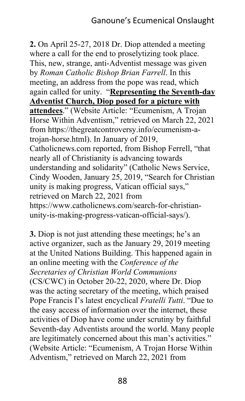**2.** On April 25-27, 2018 Dr. Diop attended a meeting where a call for the end to proselytizing took place. This, new, strange, anti-Adventist message was given by *Roman Catholic Bishop Brian Farrell*. In this meeting, an address from the pope was read, which again called for unity. "**Representing the Seventh-day Adventist Church, Diop posed for a picture with attendees**." (Website Article: "Ecumenism, A Trojan Horse Within Adventism," retrieved on March 22, 2021 from https://thegreatcontroversy.info/ecumenism-atrojan-horse.html). In January of 2019, Catholicnews.com reported, from Bishop Ferrell, "that nearly all of Christianity is advancing towards understanding and solidarity" (Catholic News Service, Cindy Wooden, January 25, 2019, "Search for Christian unity is making progress, Vatican official says," retrieved on March 22, 2021 from https://www.catholicnews.com/search-for-christianunity-is-making-progress-vatican-official-says/).

**3.** Diop is not just attending these meetings; he's an active organizer, such as the January 29, 2019 meeting at the United Nations Building. This happened again in an online meeting with the *Conference of the Secretaries of Christian World Communions* (CS/CWC) in October 20-22, 2020, where Dr. Diop was the acting secretary of the meeting, which praised Pope Francis I's latest encyclical *Fratelli Tutti*. "Due to the easy access of information over the internet, these activities of Diop have come under scrutiny by faithful Seventh-day Adventists around the world. Many people are legitimately concerned about this man's activities." (Website Article: "Ecumenism, A Trojan Horse Within Adventism," retrieved on March 22, 2021 from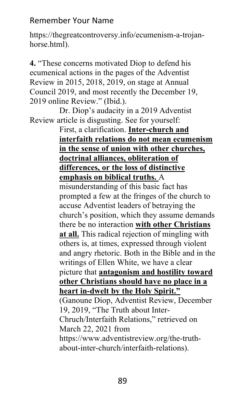https://thegreatcontroversy.info/ecumenism-a-trojanhorse.html).

**4.** "These concerns motivated Diop to defend his ecumenical actions in the pages of the Adventist Review in 2015, 2018, 2019, on stage at Annual Council 2019, and most recently the December 19, 2019 online Review." (Ibid.).

Dr. Diop's audacity in a 2019 Adventist Review article is disgusting. See for yourself:

### First, a clarification. **Inter-church and interfaith relations do not mean ecumenism in the sense of union with other churches, doctrinal alliances, obliteration of differences, or the loss of distinctive emphasis on biblical truths.** A

misunderstanding of this basic fact has prompted a few at the fringes of the church to accuse Adventist leaders of betraying the church's position, which they assume demands there be no interaction **with other Christians at all.** This radical rejection of mingling with others is, at times, expressed through violent and angry rhetoric. Both in the Bible and in the writings of Ellen White, we have a clear picture that **antagonism and hostility toward other Christians should have no place in a heart in-dwelt by the Holy Spirit."** (Ganoune Diop, Adventist Review, December 19, 2019, "The Truth about Inter-Chruch/Interfaith Relations," retrieved on March 22, 2021 from https://www.adventistreview.org/the-truthabout-inter-church/interfaith-relations).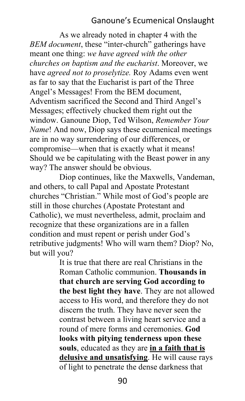## Ganoune's Ecumenical Onslaught

As we already noted in chapter 4 with the *BEM document*, these "inter-church" gatherings have meant one thing: *we have agreed with the other churches on baptism and the eucharist*. Moreover, we have *agreed not to proselytize.* Roy Adams even went as far to say that the Eucharist is part of the Three Angel's Messages! From the BEM document, Adventism sacrificed the Second and Third Angel's Messages; effectively chucked them right out the window. Ganoune Diop, Ted Wilson, *Remember Your Name*! And now, Diop says these ecumenical meetings are in no way surrendering of our differences, or compromise—when that is exactly what it means! Should we be capitulating with the Beast power in any way? The answer should be obvious.

Diop continues, like the Maxwells, Vandeman, and others, to call Papal and Apostate Protestant churches "Christian." While most of God's people are still in those churches (Apostate Protestant and Catholic), we must nevertheless, admit, proclaim and recognize that these organizations are in a fallen condition and must repent or perish under God's retributive judgments! Who will warn them? Diop? No, but will you?

> It is true that there are real Christians in the Roman Catholic communion. **Thousands in that church are serving God according to the best light they have**. They are not allowed access to His word, and therefore they do not discern the truth. They have never seen the contrast between a living heart service and a round of mere forms and ceremonies. **God looks with pitying tenderness upon these souls**, educated as they are **in a faith that is delusive and unsatisfying**. He will cause rays of light to penetrate the dense darkness that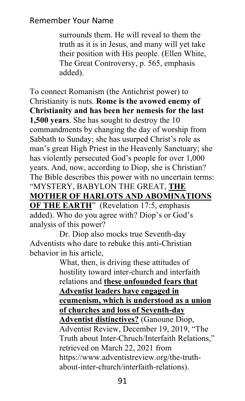surrounds them. He will reveal to them the truth as it is in Jesus, and many will yet take their position with His people. (Ellen White, The Great Controversy, p. 565, emphasis added).

To connect Romanism (the Antichrist power) to Christianity is nuts. **Rome is the avowed enemy of Christianity and has been her nemesis for the last 1,500 years**. She has sought to destroy the 10 commandments by changing the day of worship from Sabbath to Sunday; she has usurped Christ's role as man's great High Priest in the Heavenly Sanctuary; she has violently persecuted God's people for over 1,000 years. And, now, according to Diop, she is Christian? The Bible describes this power with no uncertain terms: "MYSTERY, BABYLON THE GREAT, **THE MOTHER OF HARLOTS AND ABOMINATIONS OF THE EARTH**" (Revelation 17:5, emphasis added). Who do you agree with? Diop's or God's analysis of this power?

Dr. Diop also mocks true Seventh-day Adventists who dare to rebuke this anti-Christian behavior in his article,

What, then, is driving these attitudes of hostility toward inter-church and interfaith relations and **these unfounded fears that Adventist leaders have engaged in ecumenism, which is understood as a union of churches and loss of Seventh-day Adventist distinctives?** (Ganoune Diop, Adventist Review, December 19, 2019, "The Truth about Inter-Chruch/Interfaith Relations," retrieved on March 22, 2021 from https://www.adventistreview.org/the-truthabout-inter-church/interfaith-relations).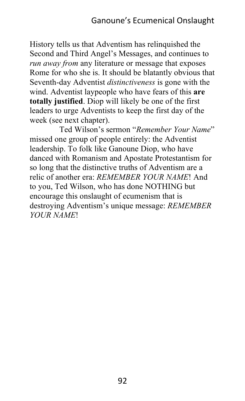History tells us that Adventism has relinquished the Second and Third Angel's Messages, and continues to *run away from* any literature or message that exposes Rome for who she is. It should be blatantly obvious that Seventh-day Adventist *distinctiveness* is gone with the wind. Adventist laypeople who have fears of this **are totally justified**. Diop will likely be one of the first leaders to urge Adventists to keep the first day of the week (see next chapter).

Ted Wilson's sermon "*Remember Your Name*" missed one group of people entirely: the Adventist leadership. To folk like Ganoune Diop, who have danced with Romanism and Apostate Protestantism for so long that the distinctive truths of Adventism are a relic of another era: *REMEMBER YOUR NAME*! And to you, Ted Wilson, who has done NOTHING but encourage this onslaught of ecumenism that is destroying Adventism's unique message: *REMEMBER YOUR NAME*!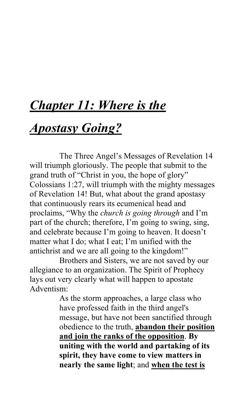## *Chapter 11: Where is the*

## *Apostasy Going?*

The Three Angel's Messages of Revelation 14 will triumph gloriously. The people that submit to the grand truth of "Christ in you, the hope of glory" Colossians 1:27, will triumph with the mighty messages of Revelation 14! But, what about the grand apostasy that continuously rears its ecumenical head and proclaims, "Why the *church is going through* and I'm part of the church; therefore, I'm going to swing, sing, and celebrate because I'm going to heaven. It doesn't matter what I do; what I eat; I'm unified with the antichrist and we are all going to the kingdom!"

Brothers and Sisters, we are not saved by our allegiance to an organization. The Spirit of Prophecy lays out very clearly what will happen to apostate Adventism:

> As the storm approaches, a large class who have professed faith in the third angel's message, but have not been sanctified through obedience to the truth, **abandon their position and join the ranks of the opposition**. **By uniting with the world and partaking of its spirit, they have come to view matters in nearly the same light**; and **when the test is**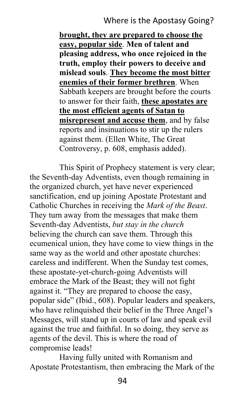## Where is the Apostasy Going?

**brought, they are prepared to choose the easy, popular side**. **Men of talent and pleasing address, who once rejoiced in the truth, employ their powers to deceive and mislead souls**. **They become the most bitter enemies of their former brethren**. When Sabbath keepers are brought before the courts to answer for their faith, **these apostates are the most efficient agents of Satan to misrepresent and accuse them**, and by false reports and insinuations to stir up the rulers against them. (Ellen White, The Great Controversy, p. 608, emphasis added).

This Spirit of Prophecy statement is very clear; the Seventh-day Adventists, even though remaining in the organized church, yet have never experienced sanctification, end up joining Apostate Protestant and Catholic Churches in receiving the *Mark of the Beast*. They turn away from the messages that make them Seventh-day Adventists, *but stay in the church* believing the church can save them. Through this ecumenical union, they have come to view things in the same way as the world and other apostate churches: careless and indifferent. When the Sunday test comes, these apostate-yet-church-going Adventists will embrace the Mark of the Beast; they will not fight against it. "They are prepared to choose the easy, popular side" (Ibid., 608). Popular leaders and speakers, who have relinquished their belief in the Three Angel's Messages, will stand up in courts of law and speak evil against the true and faithful. In so doing, they serve as agents of the devil. This is where the road of compromise leads!

Having fully united with Romanism and Apostate Protestantism, then embracing the Mark of the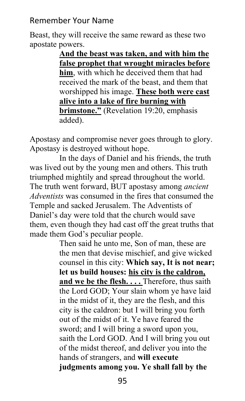Beast, they will receive the same reward as these two apostate powers.

> **And the beast was taken, and with him the false prophet that wrought miracles before him**, with which he deceived them that had received the mark of the beast, and them that worshipped his image. **These both were cast alive into a lake of fire burning with brimstone."** (Revelation 19:20, emphasis added).

Apostasy and compromise never goes through to glory. Apostasy is destroyed without hope.

In the days of Daniel and his friends, the truth was lived out by the young men and others. This truth triumphed mightily and spread throughout the world. The truth went forward, BUT apostasy among *ancient Adventists* was consumed in the fires that consumed the Temple and sacked Jerusalem. The Adventists of Daniel's day were told that the church would save them, even though they had cast off the great truths that made them God's peculiar people.

> Then said he unto me, Son of man, these are the men that devise mischief, and give wicked counsel in this city: **Which say, It is not near; let us build houses: his city is the caldron,**  and we be the flesh. . . . Therefore, thus saith the Lord GOD; Your slain whom ye have laid in the midst of it, they are the flesh, and this city is the caldron: but I will bring you forth out of the midst of it. Ye have feared the sword; and I will bring a sword upon you, saith the Lord GOD. And I will bring you out of the midst thereof, and deliver you into the hands of strangers, and **will execute judgments among you. Ye shall fall by the**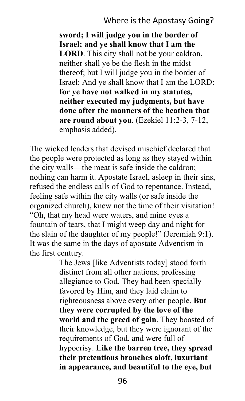**sword; I will judge you in the border of Israel; and ye shall know that I am the LORD**. This city shall not be your caldron, neither shall ye be the flesh in the midst thereof; but I will judge you in the border of Israel: And ye shall know that I am the LORD: **for ye have not walked in my statutes, neither executed my judgments, but have done after the manners of the heathen that are round about you**. (Ezekiel 11:2-3, 7-12, emphasis added).

The wicked leaders that devised mischief declared that the people were protected as long as they stayed within the city walls—the meat is safe inside the caldron; nothing can harm it. Apostate Israel, asleep in their sins, refused the endless calls of God to repentance. Instead, feeling safe within the city walls (or safe inside the organized church), knew not the time of their visitation! "Oh, that my head were waters, and mine eyes a fountain of tears, that I might weep day and night for the slain of the daughter of my people!" (Jeremiah 9:1). It was the same in the days of apostate Adventism in the first century.

> The Jews [like Adventists today] stood forth distinct from all other nations, professing allegiance to God. They had been specially favored by Him, and they laid claim to righteousness above every other people. **But they were corrupted by the love of the world and the greed of gain**. They boasted of their knowledge, but they were ignorant of the requirements of God, and were full of hypocrisy. **Like the barren tree, they spread their pretentious branches aloft, luxuriant in appearance, and beautiful to the eye, but**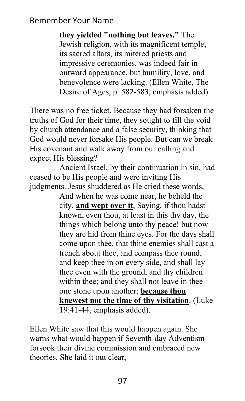**they yielded "nothing but leaves."** The Jewish religion, with its magnificent temple, its sacred altars, its mitered priests and impressive ceremonies, was indeed fair in outward appearance, but humility, love, and benevolence were lacking. (Ellen White, The Desire of Ages, p. 582-583, emphasis added).

There was no free ticket. Because they had forsaken the truths of God for their time, they sought to fill the void by church attendance and a false security, thinking that God would never forsake His people. But can we break His covenant and walk away from our calling and expect His blessing?

Ancient Israel, by their continuation in sin, had ceased to be His people and were inviting His judgments. Jesus shuddered as He cried these words,

> And when he was come near, he beheld the city, **and wept over it**, Saying, if thou hadst known, even thou, at least in this thy day, the things which belong unto thy peace! but now they are hid from thine eyes. For the days shall come upon thee, that thine enemies shall cast a trench about thee, and compass thee round, and keep thee in on every side, and shall lay thee even with the ground, and thy children within thee; and they shall not leave in thee one stone upon another; **because thou knewest not the time of thy visitation**. (Luke 19:41-44, emphasis added).

Ellen White saw that this would happen again. She warns what would happen if Seventh-day Adventism forsook their divine commission and embraced new theories. She laid it out clear,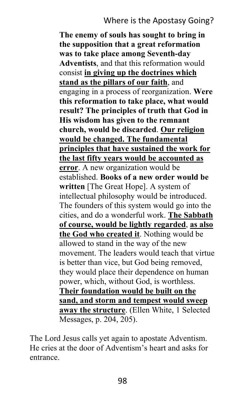## Where is the Apostasy Going?

**The enemy of souls has sought to bring in the supposition that a great reformation was to take place among Seventh-day Adventists**, and that this reformation would consist **in giving up the doctrines which stand as the pillars of our faith**, and engaging in a process of reorganization. **Were this reformation to take place, what would result? The principles of truth that God in His wisdom has given to the remnant church, would be discarded**. **Our religion would be changed. The fundamental principles that have sustained the work for the last fifty years would be accounted as error**. A new organization would be established. **Books of a new order would be written** [The Great Hope]. A system of intellectual philosophy would be introduced. The founders of this system would go into the cities, and do a wonderful work. **The Sabbath of course, would be lightly regarded**, **as also the God who created it**. Nothing would be allowed to stand in the way of the new movement. The leaders would teach that virtue is better than vice, but God being removed, they would place their dependence on human power, which, without God, is worthless. **Their foundation would be built on the sand, and storm and tempest would sweep away the structure**. (Ellen White, 1 Selected Messages, p. 204, 205).

The Lord Jesus calls yet again to apostate Adventism. He cries at the door of Adventism's heart and asks for entrance.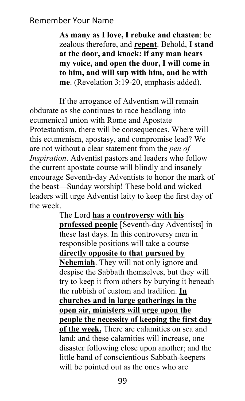**As many as I love, I rebuke and chasten**: be zealous therefore, and **repent**. Behold, **I stand at the door, and knock: if any man hears my voice, and open the door, I will come in to him, and will sup with him, and he with me**. (Revelation 3:19-20, emphasis added).

If the arrogance of Adventism will remain obdurate as she continues to race headlong into ecumenical union with Rome and Apostate Protestantism, there will be consequences. Where will this ecumenism, apostasy, and compromise lead? We are not without a clear statement from the *pen of Inspiration*. Adventist pastors and leaders who follow the current apostate course will blindly and insanely encourage Seventh-day Adventists to honor the mark of the beast—Sunday worship! These bold and wicked leaders will urge Adventist laity to keep the first day of the week.

> The Lord **has a controversy with his professed people** [Seventh-day Adventists] in these last days. In this controversy men in responsible positions will take a course **directly opposite to that pursued by Nehemiah**. They will not only ignore and despise the Sabbath themselves, but they will try to keep it from others by burying it beneath the rubbish of custom and tradition. **In churches and in large gatherings in the open air, ministers will urge upon the people the necessity of keeping the first day of the week.** There are calamities on sea and land: and these calamities will increase, one disaster following close upon another; and the little band of conscientious Sabbath-keepers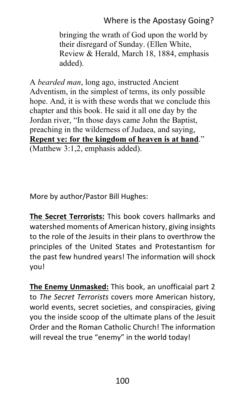## Where is the Apostasy Going?

bringing the wrath of God upon the world by their disregard of Sunday. (Ellen White, Review & Herald, March 18, 1884, emphasis added).

A *bearded man*, long ago, instructed Ancient Adventism, in the simplest of terms, its only possible hope. And, it is with these words that we conclude this chapter and this book. He said it all one day by the Jordan river, "In those days came John the Baptist, preaching in the wilderness of Judaea, and saying, **Repent ye: for the kingdom of heaven is at hand**." (Matthew 3:1,2, emphasis added).

More by author/Pastor Bill Hughes:

**The Secret Terrorists:** This book covers hallmarks and watershed moments of American history, giving insights to the role of the Jesuits in their plans to overthrow the principles of the United States and Protestantism for the past few hundred years! The information will shock you!

**The Enemy Unmasked:** This book, an unofficaial part 2 to *The Secret Terrorists* covers more American history, world events, secret societies, and conspiracies, giving you the inside scoop of the ultimate plans of the Jesuit Order and the Roman Catholic Church! The information will reveal the true "enemy" in the world today!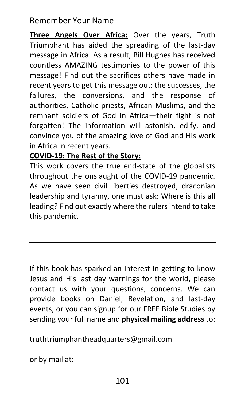**Three Angels Over Africa:** Over the years, Truth Triumphant has aided the spreading of the last-day message in Africa. As a result, Bill Hughes has received countless AMAZING testimonies to the power of this message! Find out the sacrifices others have made in recent years to get this message out; the successes, the failures, the conversions, and the response of authorities, Catholic priests, African Muslims, and the remnant soldiers of God in Africa—their fight is not forgotten! The information will astonish, edify, and convince you of the amazing love of God and His work in Africa in recent years.

#### **COVID-19: The Rest of the Story:**

This work covers the true end-state of the globalists throughout the onslaught of the COVID-19 pandemic. As we have seen civil liberties destroyed, draconian leadership and tyranny, one must ask: Where is this all leading? Find out exactly where the rulers intend to take this pandemic.

If this book has sparked an interest in getting to know Jesus and His last day warnings for the world, please contact us with your questions, concerns. We can provide books on Daniel, Revelation, and last-day events, or you can signup for our FREE Bible Studies by sending your full name and **physical mailing address** to:

truthtriumphantheadquarters@gmail.com

or by mail at: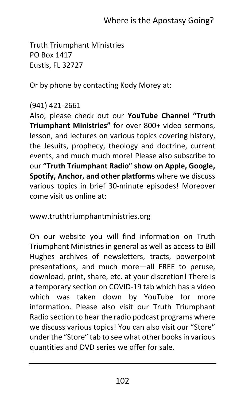Truth Triumphant Ministries PO Box 1417 Eustis, FL 32727

Or by phone by contacting Kody Morey at:

## (941) 421-2661

Also, please check out our **YouTube Channel "Truth Triumphant Ministries"** for over 800+ video sermons, lesson, and lectures on various topics covering history, the Jesuits, prophecy, theology and doctrine, current events, and much much more! Please also subscribe to our **"Truth Triumphant Radio" show on Apple, Google, Spotify, Anchor, and other platforms** where we discuss various topics in brief 30-minute episodes! Moreover come visit us online at:

www.truthtriumphantministries.org

On our website you will find information on Truth Triumphant Ministries in general as well as access to Bill Hughes archives of newsletters, tracts, powerpoint presentations, and much more—all FREE to peruse, download, print, share, etc. at your discretion! There is a temporary section on COVID-19 tab which has a video which was taken down by YouTube for more information. Please also visit our Truth Triumphant Radio section to hear the radio podcast programs where we discuss various topics! You can also visit our "Store" under the "Store" tab to see what other books in various quantities and DVD series we offer for sale.